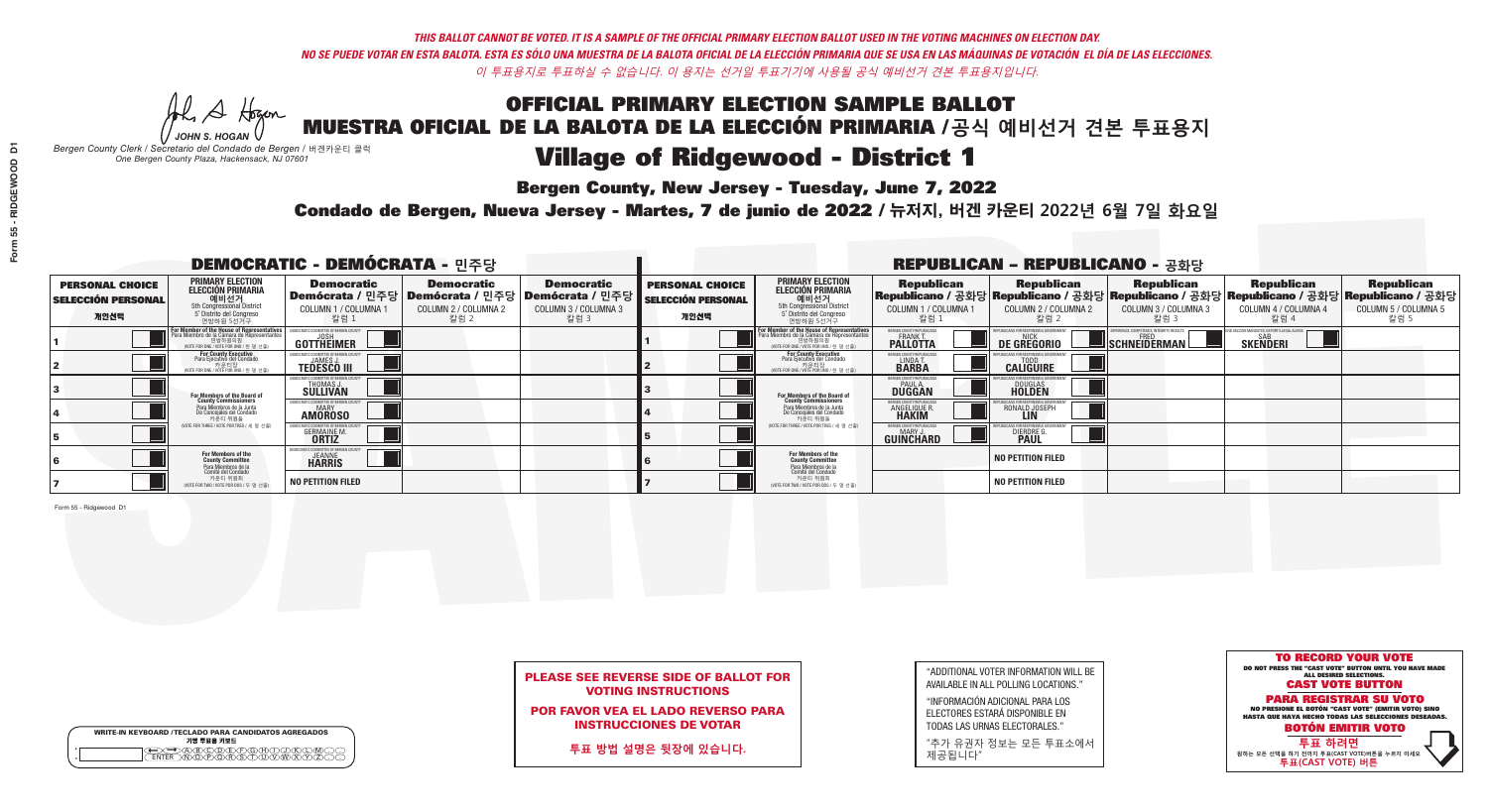**Bergen County, New Jersey - Tuesday, June 7, 2022** 

Al Stogan *JOHN S. HOGAN*

|         | <b>WRITE-IN KEYBOARD /TECLADO PARA CANDIDATOS AGREGADOS</b><br>기명 투표용 키보드 |
|---------|---------------------------------------------------------------------------|
| $\circ$ | BOODECFORD<br>াকি বিদি                                                    |

*Bergen County Clerk / Secretario del Condado de Bergen /* 버겐카운티 클럭 *One Bergen County Plaza, Hackensack, NJ 07601*

Condado de Bergen, Nueva Jersey - Martes, 7 de junio de 2022 / 뉴저지, 버겐 카운티 2022년 6월 7일 화요일 *One Bergen County Plaza, Hackensack, NJ 07601*



## PLEASE SEE REVERSE SIDE OF BALLOT FOR VOTING INSTRUCTIONS

POR FAVOR VEA EL LADO REVERSO PARA INSTRUCCIONES DE VOTAR

**투표 방법 설명은 뒷장에 있습니다.**

| "ADDITIONAL VOTER INFORMATION WILL BE |
|---------------------------------------|
| AVAILABLE IN ALL POLLING LOCATIONS."  |
|                                       |

"INFORMACIÓN ADICIONAL PARA LOS ELECTORES ESTARÁ DISPONIBLE EN TODAS LAS URNAS ELECTORALES."

"추가 유권자 정보는 모든 투표소에서 제공됩니다"

| <b>DEMOCRATIC - DEMÓCRATA - 민주당</b>                         |                                                                                                                                        |                                                            |                                                   |                                                                                                        | <b>REPUBLICAN - REPUBLICANO - 공화당</b>                       |                                                                                                                                   |                                                                      |                                                    |                                                                                                                                                |                                                   |                                                   |  |
|-------------------------------------------------------------|----------------------------------------------------------------------------------------------------------------------------------------|------------------------------------------------------------|---------------------------------------------------|--------------------------------------------------------------------------------------------------------|-------------------------------------------------------------|-----------------------------------------------------------------------------------------------------------------------------------|----------------------------------------------------------------------|----------------------------------------------------|------------------------------------------------------------------------------------------------------------------------------------------------|---------------------------------------------------|---------------------------------------------------|--|
| <b>PERSONAL CHOICE</b><br><b>SELECCIÓN PERSONAL</b><br>개인선택 | <b>PRIMARY ELECTION</b><br><b>ELECCIÓN PRIMARIA</b><br>5th Congressional District<br>5 <sup>o</sup> Distrito del Congreso<br>연방하원 5선거구 | <b>Democratic</b><br>COLUMN 1 / COLUMNA<br>_ 칼럼 1          | <b>Democratic</b><br>COLUMN 2 / COLUMNA 2<br>칼럼 2 | <b>Democratic</b><br>│Demócrata / 민주당│Demócrata / 민주당│Demócrata / 민주당│<br>COLUMN 3 / COLUMNA 3<br>칼럼 3 | <b>PERSONAL CHOICE</b><br><b>SELECCIÓN PERSONAL</b><br>개인선택 | <b>PRIMARY ELECTION</b><br>ELECCIÓN PRIMARIA<br>5th Congressional District<br>5° Distrito del Congreso<br>연방하원 5선거구               | <b>Republican</b><br>COLUMN 1 / COLUMNA 1<br>,칼럼 1                   | <b>Republican</b><br>COLUMN 2 / COLUMNA 2<br>,칼럼 2 | <b>Republican</b><br>Republicano / 공화당 Republicano / 공화당 Republicano / 공화당 Republicano / 공화당 Republicano / 공화당<br>COLUMN 3 / COLUMNA 3<br>칼럼 3 | <b>Republican</b><br>COLUMN 4 / COLUMNA 4<br>칼럼 4 | <b>Republican</b><br>COLUMN 5 / COLUMNA 5<br>칼럼 5 |  |
|                                                             | or Member of the House of Representatives<br>Para Miembro de la Cámara de Representantes<br>WOTE FOR ONE / VOTE POR UNO / 한 명 선출)      | COMMITTEE OF BERGEN C<br>GOTTHËIMER                        |                                                   |                                                                                                        |                                                             | For Member of the House of Representatives<br>Para Miembro de la Cámara de Representantes<br>WOTE FOR ONE / VOTE POR UNO / 한 명 선출 | BERGEN COUNTY REPUBLICANS<br><b>PALLOTTA</b>                         | DE GREGORIO                                        | PERIENCE, COMPETENCE, INTEGRITY, RESULT:<br>SCHNEIDERMAN                                                                                       | <b>SAR</b><br><b>SKENDERI</b>                     |                                                   |  |
|                                                             | For County Executive<br>Para Ejecutivo del Condado<br>, 카운티장<br>/OTE FOR ONE /VOTE POR UNO / 한 명 선출)                                   | JEMOCRATIC COMMITTEE OF BERGEN COUNT<br><b>TEDESCO III</b> |                                                   |                                                                                                        |                                                             | For County Executive<br>Para Ejecutivo del Condado<br>, - - - 카운티장<br>"카운티장<br>" <sup>MOTE FOR ONE / VOTE POR UNO / 한 명 선축"</sup> | BERGEN COUNTY REPUBLICAN<br>LINDA T.                                 | <b>CALIGUIRE</b>                                   |                                                                                                                                                |                                                   |                                                   |  |
|                                                             | For Members of the Board of<br>County Commissioners                                                                                    | THOMAS J.                                                  |                                                   |                                                                                                        |                                                             | <b>For Members of the Board of<br/>County Commissioners</b>                                                                       | BERGEN COUNTY REPUBLICAN<br><b>DUGGAN</b>                            | <b>DOUGLAS</b><br><b>HOLDEN</b>                    |                                                                                                                                                |                                                   |                                                   |  |
|                                                             | Para Miembros de la Junta<br>De Concejales del Condado<br>카운티 위원들                                                                      | ATIC COMMITTEE OF BEBGEN COUN<br><b>AMOROSO</b>            |                                                   |                                                                                                        |                                                             | Para Miembros de la Junta<br>De Concejales del Condado<br>카운티 위원들                                                                 | <b>FRGEN COUNTY REPUBLICAN</b><br><b>ANGELIQUE R</b><br><b>HAKIM</b> | RONALD JOSEPH<br><b>LIN</b>                        |                                                                                                                                                |                                                   |                                                   |  |
|                                                             | (VOTE FOR THREE / VOTE POR TRES / 세 명 선출)                                                                                              | <b>GERMAINE M</b><br><b>ORTIZ</b>                          |                                                   |                                                                                                        |                                                             | (VOTE FOR THREE / VOTE POR TRES / 세 명 선출)                                                                                         | BERGEN COUNTY REPUBLICANS<br>MARY J<br>GUINCHARD                     | <b>DIERDRE</b>                                     |                                                                                                                                                |                                                   |                                                   |  |
|                                                             | For Members of the<br>County Committee<br>Para Miembros de la<br>Comité del Condado                                                    | IOCRATIC COMMITTEE OF BERGEN<br><b>HARRIS</b>              |                                                   |                                                                                                        |                                                             | For Members of the<br>County Committee                                                                                            |                                                                      | <b>NO PETITION FILED</b>                           |                                                                                                                                                |                                                   |                                                   |  |
|                                                             | 카운티 위원회<br>NOTE FOR TWO / VOTE POR DOS / 두 명 선출)                                                                                       | <b>NO PETITION FILED</b>                                   |                                                   |                                                                                                        |                                                             | Para Miembros de la<br>Comité del Condado<br>카운티 위원회<br>NOTE FOR TWO / VOTE POR DOS / 두 명 선출)                                     |                                                                      | <b>NO PETITION FILED</b>                           |                                                                                                                                                |                                                   |                                                   |  |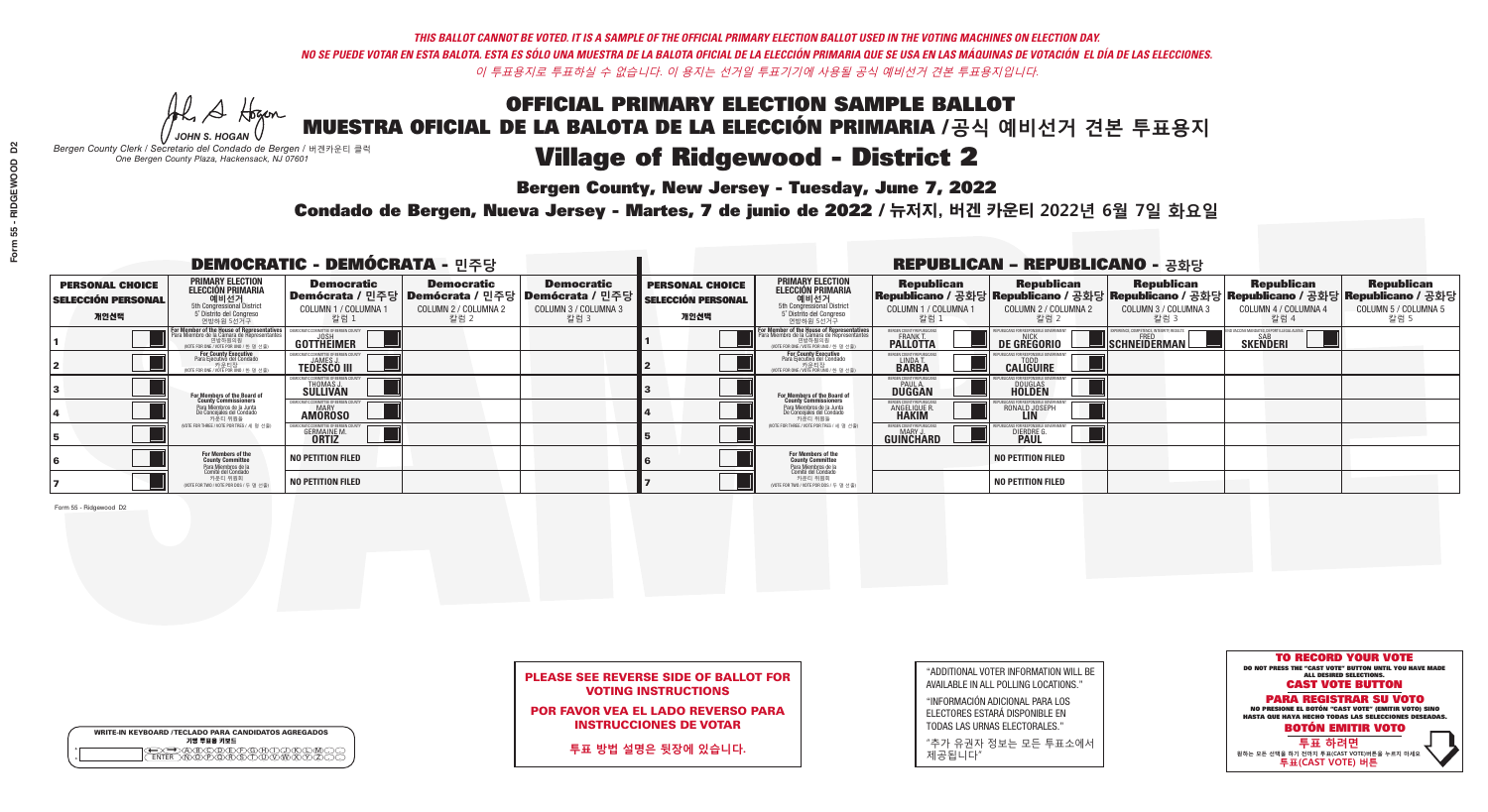**Bergen County, New Jersey - Tuesday, June 7, 2022** 

Al Stogan *JOHN S. HOGAN*

|   | <b>WRITE-IN KEYBOARD /TECLADO PARA CANDIDATOS AGREGADOS</b><br>기명 투표용 키보드 |
|---|---------------------------------------------------------------------------|
| ο |                                                                           |

*Bergen County Clerk / Secretario del Condado de Bergen /* 버겐카운티 클럭 *One Bergen County Plaza, Hackensack, NJ 07601*

Condado de Bergen, Nueva Jersey - Martes, 7 de junio de 2022 / 뉴저지, 버겐 카운티 2022년 6월 7일 화요일 *One Bergen County Plaza, Hackensack, NJ 07601*



## PLEASE SEE REVERSE SIDE OF BALLOT FOR VOTING INSTRUCTIONS

POR FAVOR VEA EL LADO REVERSO PARA INSTRUCCIONES DE VOTAR

**투표 방법 설명은 뒷장에 있습니다.**

| "ADDITIONAL VOTER INFORMATION WILL BE |
|---------------------------------------|
| AVAILABLE IN ALL POLLING LOCATIONS."  |
|                                       |

"INFORMACIÓN ADICIONAL PARA LOS ELECTORES ESTARÁ DISPONIBLE EN TODAS LAS URNAS ELECTORALES."

"추가 유권자 정보는 모든 투표소에서 제공됩니다"

| <b>DEMOCRATIC - DEMÓCRATA - 민주당</b>                         |                                                                                                                                        |                                                        |                                                   |                                                                                                        | <b>REPUBLICAN - REPUBLICANO - 공화당</b>                       |                                                                                                                                                       |                                                               |                                                   |                                                                                                                                                |                                                   |                                                   |  |
|-------------------------------------------------------------|----------------------------------------------------------------------------------------------------------------------------------------|--------------------------------------------------------|---------------------------------------------------|--------------------------------------------------------------------------------------------------------|-------------------------------------------------------------|-------------------------------------------------------------------------------------------------------------------------------------------------------|---------------------------------------------------------------|---------------------------------------------------|------------------------------------------------------------------------------------------------------------------------------------------------|---------------------------------------------------|---------------------------------------------------|--|
| <b>PERSONAL CHOICE</b><br><b>SELECCIÓN PERSONAL</b><br>개인선택 | <b>PRIMARY ELECTION</b><br>ELECCIÓN PRIMARIA<br>예비선거<br><sub>5th Congressional District</sub><br>5° Distrito del Congreso<br>연방하원 5선거구 | <b>Democratic</b><br><b>COLUMN 1 / COLUMNA</b><br>칼럼 1 | <b>Democratic</b><br>COLUMN 2 / COLUMNA 2<br>칼럼 2 | <b>Democratic</b><br>│Demócrata / 민주당│Demócrata / 민주당│Demócrata / 민주당┃<br>COLUMN 3 / COLUMNA 3<br>칼럼 3 | <b>PERSONAL CHOICE</b><br><b>SELECCIÓN PERSONAL</b><br>개인선택 | <b>PRIMARY ELECTION</b><br><b>ELECCIÓN PRIMARIA</b><br>예비선거<br>5th Congressional District<br>5 Distrito del Congreso<br>연방하원 5선거구                     | <b>Republican</b><br>COLUMN 1 / COLUMNA 1<br>칼럼 :             | <b>Republican</b><br>COLUMN 2 / COLUMNA 2<br>칼럼 2 | <b>Republican</b><br>Republicano / 공화당 Republicano / 공화당 Republicano / 공화당 Republicano / 공화당 Republicano / 공화당<br>COLUMN 3 / COLUMNA 3<br>칼럼 3 | <b>Republican</b><br>COLUMN 4 / COLUMNA 4<br>칼럼 4 | <b>Republican</b><br>COLUMN 5 / COLUMNA 5<br>칼럼 5 |  |
|                                                             | For Member of the House of Representatives<br>Para Miembro de la Cámara de Representantes                                              | COMMITTEE OF BERGEN COUNT<br><b>GOTTHEIMER</b>         |                                                   |                                                                                                        |                                                             | <b>For Member of the House of Representatives<br/>Para Miembro de la Cámara de Representantes</b><br>엔망아원의원<br>(WOTE FOR ONE / VOTE POR UNO / 한 명 선출) | BERGEN COUNTY REPUBLICANS<br><b>FRANKT</b>                    | DE GREGORIO                                       | SCHNEIDERMAN                                                                                                                                   | <b>SKENDERI</b>                                   |                                                   |  |
|                                                             | For County Executive<br>Para Ejecutivo del Condado<br>'OTE FOR ONE / VOTE POR UNO / 한 명 선출)                                            | <b>TEDESCO III</b>                                     |                                                   |                                                                                                        |                                                             | <b>For County Executive</b><br>Para Ejecutivo del Condado<br>카운티장<br>"자운티장 <sub>서츠"</sub><br>"지대 FOR ONE / VOTE POR UNO / 한 명 서츠"                     | BERGEN COUNTY REPUBLICAN<br>LINDAT.                           | <b>CALIGUIRE</b>                                  |                                                                                                                                                |                                                   |                                                   |  |
|                                                             | <b>For Members of the Board of<br/>County Commissioners</b>                                                                            | DCRATIC COMMITTEE OF BERGEN COUN<br>THOMAS J.          |                                                   |                                                                                                        |                                                             | <b>For Members of the Board of<br/>County Commissioners</b>                                                                                           | BERGEN COUNTY REPUBLICAN:<br><b>DUGGAN</b>                    | DOUGLAS<br><b>HOLDEN</b>                          |                                                                                                                                                |                                                   |                                                   |  |
|                                                             | Para Miembros de la Junta<br>De Conceiales del Condado<br>카운티 위원들                                                                      | DCRATIC COMMITTEE OF BERGEN COUNT<br><b>AMOROSO</b>    |                                                   |                                                                                                        |                                                             | Para Miembros de la Junta<br>De Concejales del Condado<br>카운티 위원들                                                                                     | <b>RGEN COUNTY REPUBLICAN</b><br><b>ANGELIQUE R<br/>HAKIM</b> | RONALD JOSEPH                                     |                                                                                                                                                |                                                   |                                                   |  |
|                                                             | (VOTE FOR THREE / VOTE POR TRES / 세 명 선출)                                                                                              | <b>GERMAINE M.</b><br><b>ORTIZ</b>                     |                                                   |                                                                                                        |                                                             | (VOTE FOR THREE / VOTE POR TRES / 세 명 선출                                                                                                              | BERGEN COUNTY REPUBLICAN:<br><b>GUINCHARD</b>                 | DIERDRE                                           |                                                                                                                                                |                                                   |                                                   |  |
|                                                             | For Members of the<br>County Committee<br>Para Miembros de la<br>Comité del Condado                                                    | <b>NO PETITION FILED</b>                               |                                                   |                                                                                                        |                                                             | For Members of the<br>County Committee                                                                                                                |                                                               | <b>NO PETITION FILED</b>                          |                                                                                                                                                |                                                   |                                                   |  |
|                                                             | 카운티 위원회<br>NOTE FOR TWO / VOTE POR DOS / 두 명 선출)                                                                                       | <b>NO PETITION FILED</b>                               |                                                   |                                                                                                        |                                                             | Para Miembros de la<br>Comité del Condado<br>카운티 위원회<br>NOTE FOR TWO / VOTE POR DOS / 두 명 선출)                                                         |                                                               | <b>NO PETITION FILED</b>                          |                                                                                                                                                |                                                   |                                                   |  |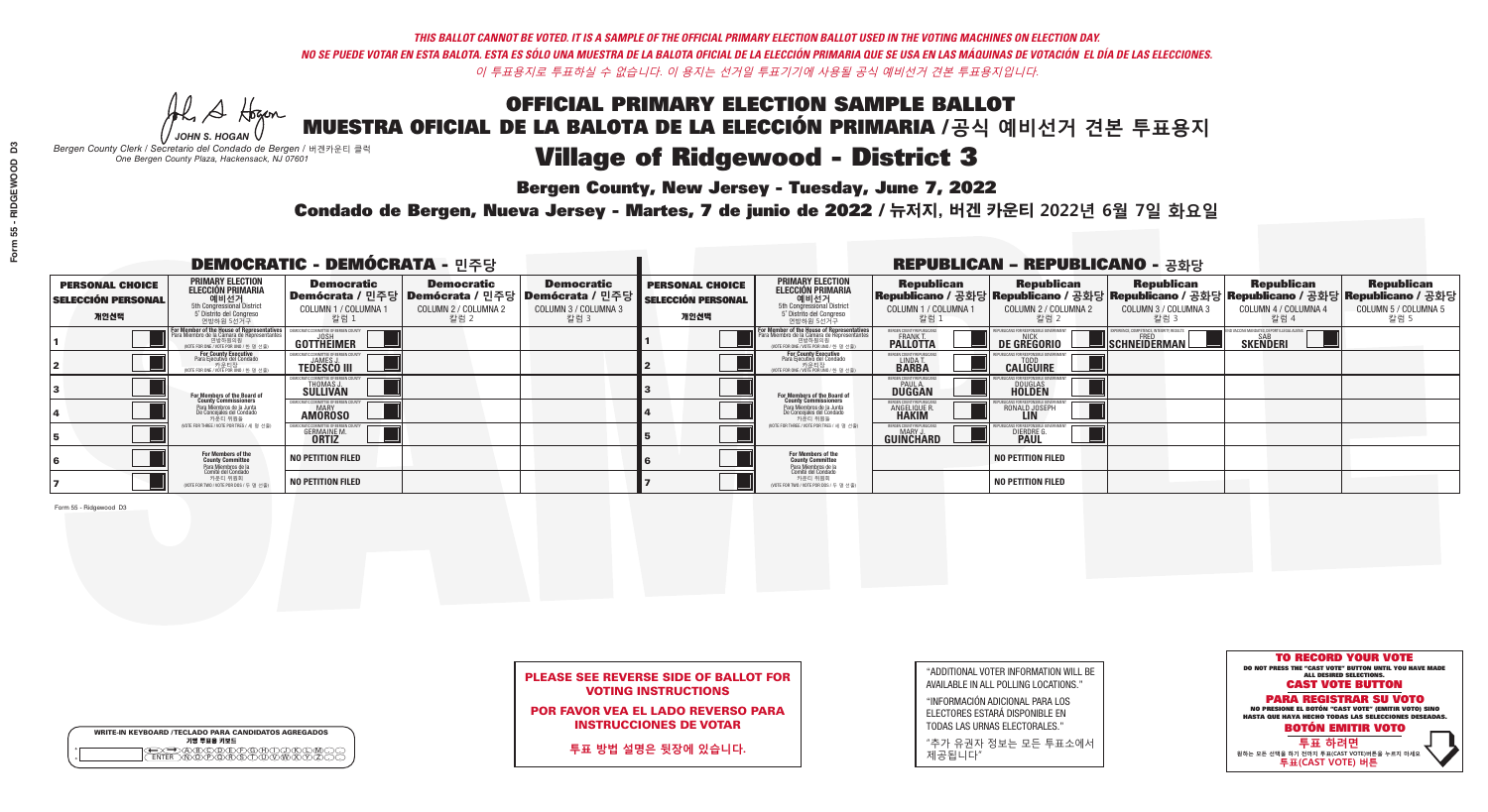**Bergen County, New Jersey - Tuesday, June 7, 2022** 

Al Stogan *JOHN S. HOGAN*

|                    | <b>WRITE-IN KEYBOARD /TECLADO PARA CANDIDATOS AGREGADOS</b><br>기명 투표용 키보드 |
|--------------------|---------------------------------------------------------------------------|
| $\circ$<br>$\circ$ | ∧∩∧ਣ                                                                      |

*Bergen County Clerk / Secretario del Condado de Bergen /* 버겐카운티 클럭 *One Bergen County Plaza, Hackensack, NJ 07601*

Condado de Bergen, Nueva Jersey - Martes, 7 de junio de 2022 / 뉴저지, 버겐 카운티 2022년 6월 7일 화요일 *One Bergen County Plaza, Hackensack, NJ 07601*



## PLEASE SEE REVERSE SIDE OF BALLOT FOR VOTING INSTRUCTIONS

POR FAVOR VEA EL LADO REVERSO PARA INSTRUCCIONES DE VOTAR

**투표 방법 설명은 뒷장에 있습니다.**

| "ADDITIONAL VOTER INFORMATION WILL BE |
|---------------------------------------|
| AVAILABLE IN ALL POLLING LOCATIONS."  |
|                                       |

"INFORMACIÓN ADICIONAL PARA LOS ELECTORES ESTARÁ DISPONIBLE EN TODAS LAS URNAS ELECTORALES."

"추가 유권자 정보는 모든 투표소에서 제공됩니다"

| <b>DEMOCRATIC - DEMÓCRATA - 민주당</b>                         |                                                                                                                                               |                                                     |                                                   |                                                                                                              |                                                             |                                                                                                                                   |                                                                      | <b>REPUBLICAN - REPUBLICANO - 공화당</b>              |                                                   |                                                                                                                                                |                                                   |
|-------------------------------------------------------------|-----------------------------------------------------------------------------------------------------------------------------------------------|-----------------------------------------------------|---------------------------------------------------|--------------------------------------------------------------------------------------------------------------|-------------------------------------------------------------|-----------------------------------------------------------------------------------------------------------------------------------|----------------------------------------------------------------------|----------------------------------------------------|---------------------------------------------------|------------------------------------------------------------------------------------------------------------------------------------------------|---------------------------------------------------|
| <b>PERSONAL CHOICE</b><br><b>SELECCIÓN PERSONAL</b><br>개인선택 | <b>PRIMARY ELECTION</b><br><b>ELECCIÓN PRIMARIA</b><br>예비선거<br>5th Congressional District<br>5° Distrito del Congreso<br>연방하원 5선거구            | <b>Democratic</b><br>COLUMN 1 / COLUMNA<br>_ 칼럼 1   | <b>Democratic</b><br>COLUMN 2 / COLUMNA 2<br>칼럼 2 | <b>Democratic</b><br>  Demócrata / 민주당   Demócrata / 민주당   Demócrata / 민주당  <br>COLUMN 3 / COLUMNA 3<br>칼럼 3 | <b>PERSONAL CHOICE</b><br><b>SELECCIÓN PERSONAL</b><br>개인선택 | <b>PRIMARY ELECTION</b><br>ELECCIÓN PRIMARIA<br>예비선거<br>5th Congressional District<br>5 Distrito del Congreso<br>연방하원 5선거구        | <b>Republican</b><br>COLUMN 1 / COLUMNA 1<br>칼럼 1                    | <b>Republican</b><br>COLUMN 2 / COLUMNA 2<br>,칼럼 2 | <b>Republican</b><br>COLUMN 3 / COLUMNA 3<br>칼럼 3 | <b>Republican</b><br>Republicano / 공화당 Republicano / 공화당 Republicano / 공화당 Republicano / 공화당 Republicano / 공화당<br>COLUMN 4 / COLUMNA 4<br>칼럼 4 | <b>Republican</b><br>COLUMN 5 / COLUMNA 5<br>칼럼 5 |
|                                                             | For Member of the House of Representatives<br>Para Miembro de la Cámara de Representantes<br>연방하원의원<br>(VOTE FOR ONE / VOTE POR UNO / 한 명 선출) | OMMITTEE OF BERGEN COUN'<br>GOTTHEIMER              |                                                   |                                                                                                              |                                                             | For Member of the House of Representatives<br>Para Miembro de la Cámara de Representantes<br>WOTE FOR ONE / VOTE POR UNO / 한 명 선출 | BERGEN COUNTY REPUBLICANS<br><b>PALLOTTA</b>                         | DE GREGORIO                                        | SCHNEIDERMAN                                      | SAB<br><b>SKENDERI</b>                                                                                                                         |                                                   |
|                                                             | For County Executive<br>Para Ejecutivo del Condado<br>/OTE FOR ONE / VOTE POR UNO / 한 명 선출)                                                   | <b>TEDESCO III</b>                                  |                                                   |                                                                                                              |                                                             | For County Executive<br>Para Ejecutivo del Condado<br>.<br>VOTE FOR ONE / VOTE POR UNO / 한 명 선출                                   | BERGEN COUNTY REPUBLICAN<br>LINDAT.                                  | <b>CALIGUIRE</b>                                   |                                                   |                                                                                                                                                |                                                   |
|                                                             | For Members of the Board of<br>County Commissioners                                                                                           | THOMAS J.                                           |                                                   |                                                                                                              |                                                             | For Members of the Board of<br>County Commissioners                                                                               | BERGEN COUNTY REPUBLICAN<br><b>DUGGAN</b>                            | DOUGLAS<br><b>HOLDEN</b>                           |                                                   |                                                                                                                                                |                                                   |
|                                                             | Para Miembros de la Junta<br>De Concejales del Condado<br>카우티 위원들                                                                             | OCRATIC COMMITTEE OF BERGEN COUN'<br><b>AMOROSO</b> |                                                   |                                                                                                              |                                                             | Para Miembros de la Junta<br>De Concejales del Condado<br>카우티 위원들                                                                 | <b>FRGEN COUNTY REPUBLICAN</b><br><b>ANGELIQUE R</b><br><b>HAKIM</b> | RONALD JOSEPH<br><b>LIN</b>                        |                                                   |                                                                                                                                                |                                                   |
|                                                             | NOTE FOR THREE / VOTE POR TRES / 세 명 선출)                                                                                                      | <b>GERMAINE M</b><br><b>ORTIZ</b>                   |                                                   |                                                                                                              |                                                             | (VOTE FOR THREE / VOTE POR TRES / 세 명 선출)                                                                                         | BERGEN COUNTY REPUBLICAN<br>MARY J<br>GUINCHARD                      | <b>DIERDRE</b>                                     |                                                   |                                                                                                                                                |                                                   |
|                                                             | For Members of the<br>County Committee<br>Para Miembros de la<br>Comité del Condado                                                           | <b>NO PETITION FILED</b>                            |                                                   |                                                                                                              |                                                             | For Members of the<br>County Committee                                                                                            |                                                                      | <b>NO PETITION FILED</b>                           |                                                   |                                                                                                                                                |                                                   |
|                                                             | 카운티 위원회<br>NOTE FOR TWO / VOTE POR DOS / 두 명 선출)                                                                                              | <b>NO PETITION FILED</b>                            |                                                   |                                                                                                              |                                                             | Para Miembros de la<br>Comité del Condado<br>카운티 위원회<br>NOTE FOR TWO / VOTE POR DOS / 두 명 선출)                                     |                                                                      | <b>NO PETITION FILED</b>                           |                                                   |                                                                                                                                                |                                                   |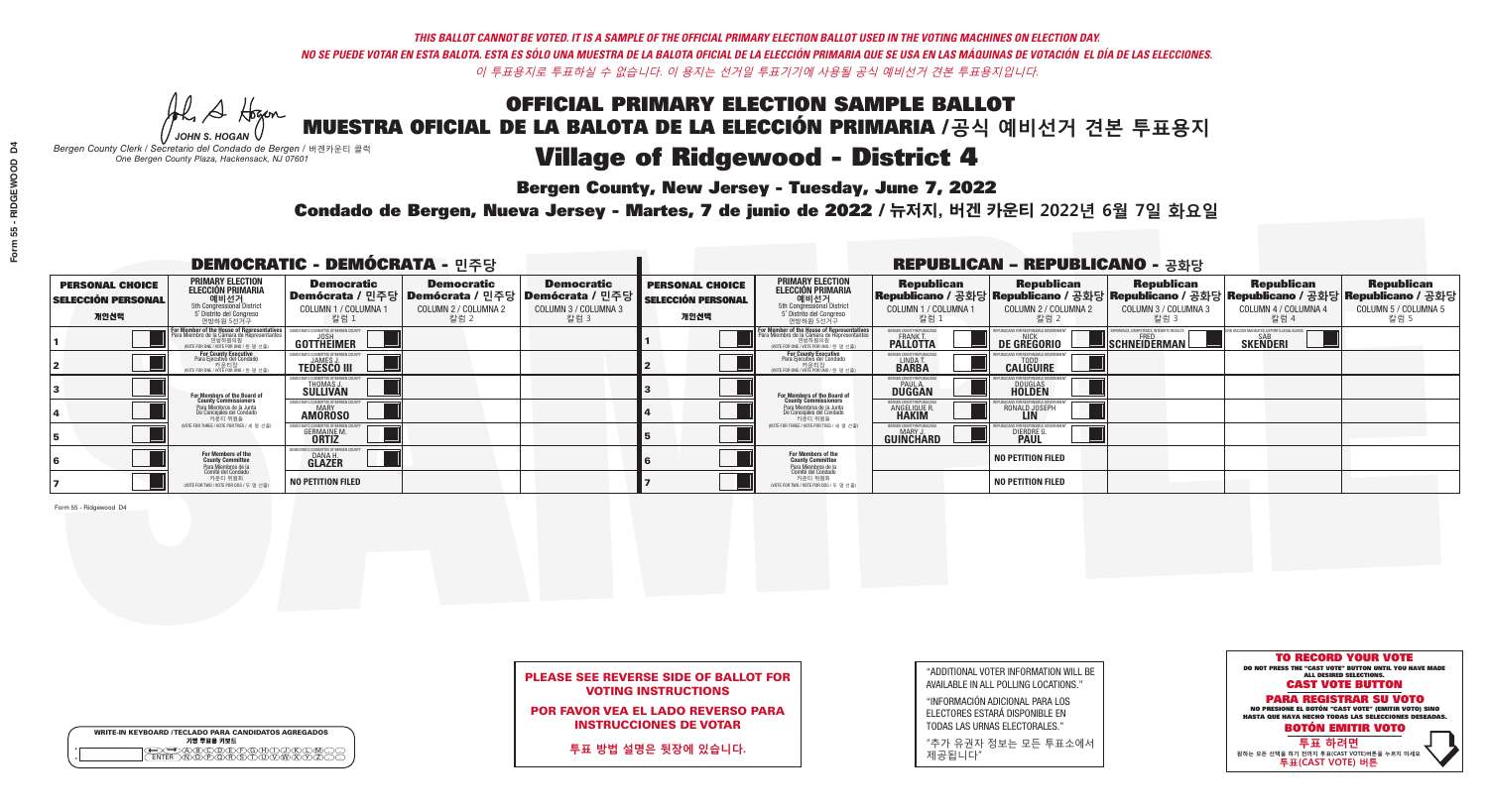**Bergen County, New Jersey - Tuesday, June 7, 2022** 

Al Stogan *JOHN S. HOGAN*

|                    | <b>WRITE-IN KEYBOARD /TECLADO PARA CANDIDATOS AGREGADOS</b><br>기명 투표용 키보드 |  |
|--------------------|---------------------------------------------------------------------------|--|
| $\circ$<br>$\circ$ |                                                                           |  |

*Bergen County Clerk / Secretario del Condado de Bergen /* 버겐카운티 클럭 *One Bergen County Plaza, Hackensack, NJ 07601*

Condado de Bergen, Nueva Jersey - Martes, 7 de junio de 2022 / 뉴저지, 버겐 카운티 2022년 6월 7일 화요일 *One Bergen County Plaza, Hackensack, NJ 07601*



## PLEASE SEE REVERSE SIDE OF BALLOT FOR VOTING INSTRUCTIONS

POR FAVOR VEA EL LADO REVERSO PARA INSTRUCCIONES DE VOTAR

**투표 방법 설명은 뒷장에 있습니다.**

| "ADDITIONAL VOTER INFORMATION WILL BE |
|---------------------------------------|
| AVAILABLE IN ALL POLLING LOCATIONS."  |
|                                       |

"INFORMACIÓN ADICIONAL PARA LOS ELECTORES ESTARÁ DISPONIBLE EN TODAS LAS URNAS ELECTORALES."

"추가 유권자 정보는 모든 투표소에서 제공됩니다"

| <b>DEMOCRATIC - DEMÓCRATA - 민주당</b>                         |                                                                                                                                               |                                                     |                                                   |                                                                                                              | <b>REPUBLICAN - REPUBLICANO - 공화당</b>                       |                                                                                                                                   |                                                                      |                                                    |                                                   |                                                                                                                                                |                                                   |  |
|-------------------------------------------------------------|-----------------------------------------------------------------------------------------------------------------------------------------------|-----------------------------------------------------|---------------------------------------------------|--------------------------------------------------------------------------------------------------------------|-------------------------------------------------------------|-----------------------------------------------------------------------------------------------------------------------------------|----------------------------------------------------------------------|----------------------------------------------------|---------------------------------------------------|------------------------------------------------------------------------------------------------------------------------------------------------|---------------------------------------------------|--|
| <b>PERSONAL CHOICE</b><br><b>SELECCIÓN PERSONAL</b><br>개인선택 | <b>PRIMARY ELECTION</b><br><b>ELECCIÓN PRIMARIA</b><br>예비선거<br>5th Congressional District<br>5° Distrito del Congreso<br>연방하원 5선거구            | <b>Democratic</b><br>COLUMN 1 / COLUMNA<br>칼럼 1     | <b>Democratic</b><br>COLUMN 2 / COLUMNA 2<br>칼럼 2 | <b>Democratic</b><br>  Demócrata / 민주당   Demócrata / 민주당   Demócrata / 민주당  <br>COLUMN 3 / COLUMNA 3<br>칼럼 3 | <b>PERSONAL CHOICE</b><br><b>SELECCIÓN PERSONAL</b><br>개인선택 | <b>PRIMARY ELECTION</b><br>ELECCIÓN PRIMARIA<br>예비선거<br>5th Congressional District<br>5 Distrito del Congreso<br>연방하원 5선거구        | <b>Republican</b><br>COLUMN 1 / COLUMNA 1<br>칼럼 1                    | <b>Republican</b><br>COLUMN 2 / COLUMNA 2<br>,칼럼 2 | <b>Republican</b><br>COLUMN 3 / COLUMNA 3<br>칼럼 3 | <b>Republican</b><br>Republicano / 공화당 Republicano / 공화당 Republicano / 공화당 Republicano / 공화당 Republicano / 공화당<br>COLUMN 4 / COLUMNA 4<br>칼럼 4 | <b>Republican</b><br>COLUMN 5 / COLUMNA 5<br>칼럼 5 |  |
|                                                             | For Member of the House of Representatives<br>Para Miembro de la Cámara de Representantes<br>연방하원의원<br>(VOTE FOR ONE / VOTE POR UNO / 한 명 선출) | COMMITTEE OF BERGEN COUN<br>GOTTHEIMER              |                                                   |                                                                                                              |                                                             | For Member of the House of Representatives<br>Para Miembro de la Cámara de Representantes<br>WOTE FOR ONE / VOTE POR UNO / 한 명 선출 | BERGEN COUNTY REPUBLICANS<br><b>PALLOTTA</b>                         | <b>DE GREGORIO</b>                                 | SCHNEIDERMAN                                      | SAB<br><b>SKENDERI</b>                                                                                                                         |                                                   |  |
|                                                             | For County Executive<br>Para Ejecutivo del Condado<br>/OTE FOR ONE / VOTE POR UNO / 한 명 선출)                                                   | <b>TEDESCO III</b>                                  |                                                   |                                                                                                              |                                                             | For County Executive<br>Para Ejecutivo del Condado<br>.<br>VOTE FOR ONE / VOTE POR UNO / 한 명 선출                                   | BERGEN COUNTY REPUBLICAN<br>LINDAT.                                  | <b>CALIGUIRE</b>                                   |                                                   |                                                                                                                                                |                                                   |  |
|                                                             | For Members of the Board of<br>County Commissioners                                                                                           | THOMAS J.                                           |                                                   |                                                                                                              |                                                             | For Members of the Board of<br>County Commissioners                                                                               | BERGEN COUNTY REPUBLICAN<br><b>DUGGAN</b>                            | DOUGLAS<br><b>HOLDEN</b>                           |                                                   |                                                                                                                                                |                                                   |  |
|                                                             | Para Miembros de la Junta<br>De Concejales del Condado<br>카우티 위원들                                                                             | OCRATIC COMMITTEE OF BERGEN COUN'<br><b>AMOROSO</b> |                                                   |                                                                                                              |                                                             | Para Miembros de la Junta<br>De Concejales del Condado<br>카우티 위원들                                                                 | <b>FRGEN COUNTY REPUBLICAN</b><br><b>ANGELIQUE R</b><br><b>HAKIM</b> | RONALD JOSEPH<br><b>LIN</b>                        |                                                   |                                                                                                                                                |                                                   |  |
|                                                             | NOTE FOR THREE / VOTE POR TRES / 세 명 선출)                                                                                                      | <b>GERMAINE M</b><br><b>ORTIZ</b>                   |                                                   |                                                                                                              |                                                             | (VOTE FOR THREE / VOTE POR TRES / 세 명 선출)                                                                                         | BERGEN COUNTY REPUBLICAN<br>MARY J<br>GUINCHARD                      | <b>DIERDRE</b>                                     |                                                   |                                                                                                                                                |                                                   |  |
|                                                             | For Members of the<br>County Committee<br>Para Miembros de la<br>Comité del Condado                                                           | IOCRATIC COMMITTEE OF BERGE<br>DANA H.<br>GLAZER    |                                                   |                                                                                                              |                                                             | For Members of the<br>County Committee                                                                                            |                                                                      | <b>NO PETITION FILED</b>                           |                                                   |                                                                                                                                                |                                                   |  |
|                                                             | 카운티 위원회<br>NOTE FOR TWO / VOTE POR DOS / 두 명 선출)                                                                                              | <b>NO PETITION FILED</b>                            |                                                   |                                                                                                              |                                                             | Para Miembros de la<br>Comité del Condado<br>카운티 위원회<br>NOTE FOR TWO / VOTE POR DOS / 두 명 선출)                                     |                                                                      | <b>NO PETITION FILED</b>                           |                                                   |                                                                                                                                                |                                                   |  |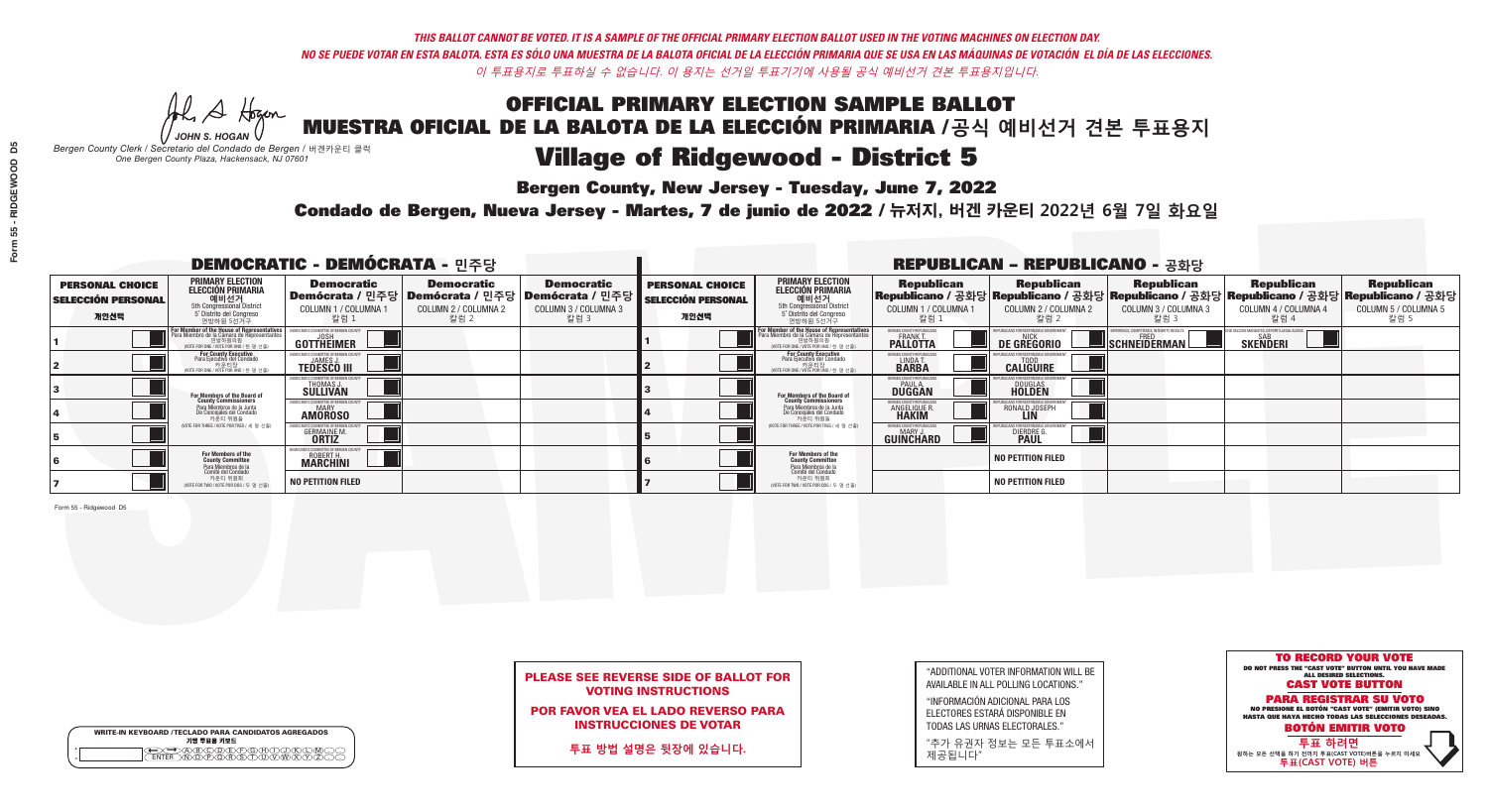**Bergen County, New Jersey - Tuesday, June 7, 2022** 

Al Stogan *JOHN S. HOGAN*

|         | <b>WRITE-IN KEYBOARD /TECLADO PARA CANDIDATOS AGREGADOS</b><br>기명 투표용 키보드 |
|---------|---------------------------------------------------------------------------|
| $\circ$ | <b>MEMEMARY</b>                                                           |

*Bergen County Clerk / Secretario del Condado de Bergen /* 버겐카운티 클럭 *One Bergen County Plaza, Hackensack, NJ 07601*

Condado de Bergen, Nueva Jersey - Martes, 7 de junio de 2022 / 뉴저지, 버겐 카운티 2022년 6월 7일 화요일 *One Bergen County Plaza, Hackensack, NJ 07601*



## PLEASE SEE REVERSE SIDE OF BALLOT FOR VOTING INSTRUCTIONS

POR FAVOR VEA EL LADO REVERSO PARA INSTRUCCIONES DE VOTAR

**투표 방법 설명은 뒷장에 있습니다.**

| "ADDITIONAL VOTER INFORMATION WILL BE |
|---------------------------------------|
| AVAILABLE IN ALL POLLING LOCATIONS."  |
|                                       |

"INFORMACIÓN ADICIONAL PARA LOS ELECTORES ESTARÁ DISPONIBLE EN TODAS LAS URNAS ELECTORALES."

"추가 유권자 정보는 모든 투표소에서 제공됩니다"

| <b>DEMOCRATIC - DEMÓCRATA - 민주당</b>                         |                                                                                                                                               |                                                                     |                                                   |                                                                                                              | <b>REPUBLICAN - REPUBLICANO - 공화당</b>                       |                                                                                                                                   |                                                                      |                                                    |                                                   |                                                                                                                                                |                                                   |
|-------------------------------------------------------------|-----------------------------------------------------------------------------------------------------------------------------------------------|---------------------------------------------------------------------|---------------------------------------------------|--------------------------------------------------------------------------------------------------------------|-------------------------------------------------------------|-----------------------------------------------------------------------------------------------------------------------------------|----------------------------------------------------------------------|----------------------------------------------------|---------------------------------------------------|------------------------------------------------------------------------------------------------------------------------------------------------|---------------------------------------------------|
| <b>PERSONAL CHOICE</b><br><b>SELECCIÓN PERSONAL</b><br>개인선택 | <b>PRIMARY ELECTION</b><br><b>ELECCIÓN PRIMARIA</b><br>예비선거<br>5th Congressional District<br>5° Distrito del Congreso<br>연방하원 5선거구            | <b>Democratic</b><br>COLUMN 1 / COLUMNA<br>칼럼 1                     | <b>Democratic</b><br>COLUMN 2 / COLUMNA 2<br>칼럼 2 | <b>Democratic</b><br>  Demócrata / 민주당   Demócrata / 민주당   Demócrata / 민주당  <br>COLUMN 3 / COLUMNA 3<br>칼럼 3 | <b>PERSONAL CHOICE</b><br><b>SELECCIÓN PERSONAL</b><br>개인선택 | <b>PRIMARY ELECTION</b><br>ELECCIÓN PRIMARIA<br>예비선거<br>5th Congressional District<br>5 Distrito del Congreso<br>연방하원 5선거구        | <b>Republican</b><br>COLUMN 1 / COLUMNA 1<br>칼럼 1                    | <b>Republican</b><br>COLUMN 2 / COLUMNA 2<br>,칼럼 2 | <b>Republican</b><br>COLUMN 3 / COLUMNA 3<br>칼럼 3 | <b>Republican</b><br>Republicano / 공화당 Republicano / 공화당 Republicano / 공화당 Republicano / 공화당 Republicano / 공화당<br>COLUMN 4 / COLUMNA 4<br>칼럼 4 | <b>Republican</b><br>COLUMN 5 / COLUMNA 5<br>칼럼 5 |
|                                                             | For Member of the House of Representatives<br>Para Miembro de la Cámara de Representantes<br>연방하원의원<br>(VOTE FOR ONE / VOTE POR UNO / 한 명 선출) | COMMITTEE OF BERGEN COUN<br>GOTTHEIMER                              |                                                   |                                                                                                              |                                                             | For Member of the House of Representatives<br>Para Miembro de la Cámara de Representantes<br>WOTE FOR ONE / VOTE POR UNO / 한 명 선출 | BERGEN COUNTY REPUBLICANS<br><b>PALLOTTA</b>                         | <b>DE GREGORIO</b>                                 | SCHNEIDERMAN                                      | SAB<br><b>SKENDERI</b>                                                                                                                         |                                                   |
|                                                             | For County Executive<br>Para Ejecutivo del Condado<br>/OTE FOR ONE / VOTE POR UNO / 한 명 선출)                                                   | <b>TEDESCO III</b>                                                  |                                                   |                                                                                                              |                                                             | For County Executive<br>Para Ejecutivo del Condado<br>.<br>VOTE FOR ONE / VOTE POR UNO / 한 명 선출                                   | BERGEN COUNTY REPUBLICAN<br>LINDAT.                                  | <b>CALIGUIRE</b>                                   |                                                   |                                                                                                                                                |                                                   |
|                                                             | For Members of the Board of<br>County Commissioners                                                                                           | THOMAS J.                                                           |                                                   |                                                                                                              |                                                             | For Members of the Board of<br>County Commissioners                                                                               | BERGEN COUNTY REPUBLICAN<br><b>DUGGAN</b>                            | DOUGLAS<br><b>HOLDEN</b>                           |                                                   |                                                                                                                                                |                                                   |
|                                                             | Para Miembros de la Junta<br>De Concejales del Condado<br>카우티 위원들                                                                             | OCRATIC COMMITTEE OF BERGEN COUN'<br><b>AMOROSO</b>                 |                                                   |                                                                                                              |                                                             | Para Miembros de la Junta<br>De Concejales del Condado<br>카운티 위원들                                                                 | <b>FRGEN COUNTY REPUBLICAN</b><br><b>ANGELIQUE R</b><br><b>HAKIM</b> | RONALD JOSEPH<br><b>LIN</b>                        |                                                   |                                                                                                                                                |                                                   |
|                                                             | NOTE FOR THREE / VOTE POR TRES / 세 명 선출)                                                                                                      | <b>GERMAINE M</b><br><b>ORTIZ</b>                                   |                                                   |                                                                                                              |                                                             | (VOTE FOR THREE / VOTE POR TRES / 세 명 선출)                                                                                         | BERGEN COUNTY REPUBLICAN<br>MARY J<br>GUINCHARD                      | <b>DIERDRE</b>                                     |                                                   |                                                                                                                                                |                                                   |
|                                                             | For Members of the<br>County Committee<br>Para Miembros de la<br>Comité del Condado                                                           | MOCRATIC COMMITTEE OF BERGEN<br><b>ROBERT H.</b><br><b>MARCHINI</b> |                                                   |                                                                                                              |                                                             | For Members of the<br>County Committee                                                                                            |                                                                      | <b>NO PETITION FILED</b>                           |                                                   |                                                                                                                                                |                                                   |
|                                                             | 카운티 위원회<br>NOTE FOR TWO / VOTE POR DOS / 두 명 선출)                                                                                              | <b>NO PETITION FILED</b>                                            |                                                   |                                                                                                              |                                                             | Para Miembros de la<br>Comité del Condado<br>카운티 위원회<br>NOTE FOR TWO / VOTE POR DOS / 두 명 선출)                                     |                                                                      | <b>NO PETITION FILED</b>                           |                                                   |                                                                                                                                                |                                                   |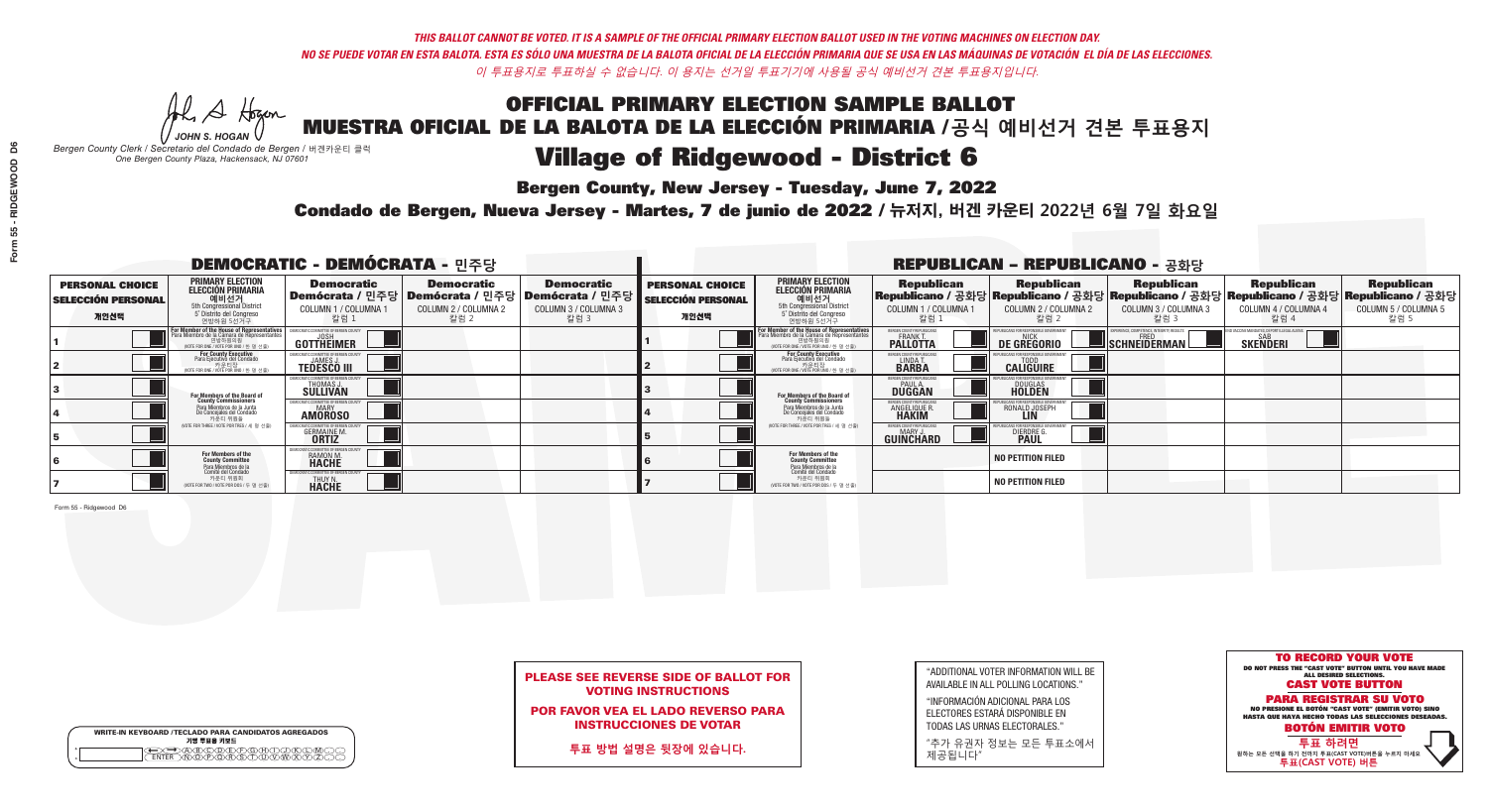**Bergen County, New Jersey - Tuesday, June 7, 2022** 

Al Stogan *JOHN S. HOGAN*

|         | <b>WRITE-IN KEYBOARD /TECLADO PARA CANDIDATOS AGREGADOS</b><br>기명 투표용 키보드 |
|---------|---------------------------------------------------------------------------|
| $\circ$ | <b>PÃRÃÃ</b>                                                              |

*Bergen County Clerk / Secretario del Condado de Bergen /* 버겐카운티 클럭 *One Bergen County Plaza, Hackensack, NJ 07601*



POR FAVOR VEA EL LADO REVERSO PARA INSTRUCCIONES DE VOTAR

**투표 방법 설명은 뒷장에 있습니다.**

| "ADDITIONAL VOTER INFORMATION WILL BE |
|---------------------------------------|
| AVAILABLE IN ALL POLLING LOCATIONS."  |
|                                       |

"INFORMACIÓN ADICIONAL PARA LOS ELECTORES ESTARÁ DISPONIBLE EN TODAS LAS URNAS ELECTORALES."

"추가 유권자 정보는 모든 투표소에서 제공됩니다"

Condado de Bergen, Nueva Jersey - Martes, 7 de junio de 2022 / 뉴저지, 버겐 카운티 2022년 6월 7일 화요일 *One Bergen County Plaza, Hackensack, NJ 07601*

| <b>DEMOCRATIC - DEMÓCRATA - 민주당</b>                         |                                                                                                                                        |                                                              |                                                   |                                                                                                              | <b>REPUBLICAN - REPUBLICANO - 공화당</b>                       |                                                                                                                                                  |                                                                      |                                                    |                                                           |                                                                                                                                                |                                                   |  |
|-------------------------------------------------------------|----------------------------------------------------------------------------------------------------------------------------------------|--------------------------------------------------------------|---------------------------------------------------|--------------------------------------------------------------------------------------------------------------|-------------------------------------------------------------|--------------------------------------------------------------------------------------------------------------------------------------------------|----------------------------------------------------------------------|----------------------------------------------------|-----------------------------------------------------------|------------------------------------------------------------------------------------------------------------------------------------------------|---------------------------------------------------|--|
| <b>PERSONAL CHOICE</b><br><b>SELECCIÓN PERSONAL</b><br>개인선택 | <b>PRIMARY ELECTION</b><br>ELECCIÓN PRIMARIA<br>예비선거<br><sub>5th Congressional</sub> District<br>5° Distrito del Congreso<br>연방하원 5선거구 | <b>Democratic</b><br>COLUMN 1 / COLUMNA<br>칼럼 1              | <b>Democratic</b><br>COLUMN 2 / COLUMNA 2<br>칼럼 2 | <b>Democratic</b><br>  Demócrata / 민주당   Demócrata / 민주당   Demócrata / 민주당  <br>COLUMN 3 / COLUMNA 3<br>칼럼 3 | <b>PERSONAL CHOICE</b><br><b>SELECCIÓN PERSONAL</b><br>개인선택 | <b>PRIMARY ELECTION</b><br>ELECCIÓN PRIMARIA<br>예비선거<br>5th Congressional District<br>5 Distrito del Congreso<br>연방하원 5선거구                       | <b>Republican</b><br>COLUMN 1 / COLUMNA 1<br>, 칼럼 :                  | <b>Republican</b><br>COLUMN 2 / COLUMNA 2<br>·칼럼 2 | <b>Republican</b><br>COLUMN 3 / COLUMNA 3<br>칼럼 3         | <b>Republican</b><br>Republicano / 공화당 Republicano / 공화당 Republicano / 공화당 Republicano / 공화당 Republicano / 공화당<br>COLUMN 4 / COLUMNA 4<br>칼럼 4 | <b>Republican</b><br>COLUMN 5 / COLUMNA 5<br>칼럼 5 |  |
|                                                             | For Member of the House of Representatives<br>Para Miembro de la Cámara de Representantes<br>NOTE FOR ONE / VOTE POR UNO / 한 명 선출)     | DEMOCRATIC COMMITTEE OF BERGEN COUN<br>GOTTHEIMER            |                                                   |                                                                                                              |                                                             | F <mark>or Member of the House of Representatives</mark><br>Para Miembro de la Cámara de Representantes<br>NOTE FOR ONE / VOTE POR UNO / 한 명 선출) | BERGEN COUNTY REPUBLICANS<br><b>FRANK T.</b><br><b>PALLOTTA</b>      | DE GREGORIO                                        | 'PERIENCE, COMPETENCE, INTEGRITY, RESULTS<br>SCHNEIDERMAN | SAB<br><b>SKENDERI</b>                                                                                                                         |                                                   |  |
|                                                             | For County Executive<br>Para Ejecutivo del Condado<br>vOTE FOR ONE / VOTE POR UNO / 한 명 선출)                                            | JAMES,<br><b>TEDESCO III</b>                                 |                                                   |                                                                                                              |                                                             | For County Executive<br>Para Ejecutivo del Condado<br>. 카운티장<br>(VOTE FOR ONE / VOTE POR UNO / 한 명 선출)                                           | BERGEN COUNTY REPUBLICAN<br>LINDA T.                                 | <b>CALIGUIRE</b>                                   |                                                           |                                                                                                                                                |                                                   |  |
|                                                             | For Members of the Board of<br>County Commissioners                                                                                    | <b>THOMAS J.</b><br><b>SULLIVAN</b>                          |                                                   |                                                                                                              |                                                             | <b>For Members of the Board of County Commissioners</b>                                                                                          | BERGEN COUNTY REPUBLICAN<br><b>PAUL A.</b><br><b>DUGGAN</b>          | <b>DOUGLAS</b>                                     |                                                           |                                                                                                                                                |                                                   |  |
|                                                             | Para Miembros de la Junta<br>De Concejales del Condado<br>카운티 위원들                                                                      | IC COMMITTEE OF RERGEN COLL<br><b>MARY</b><br><b>AMOROSO</b> |                                                   |                                                                                                              |                                                             | Para Miembros de la Junta<br>De Concejales del Condado<br>카운티 위원들                                                                                | <b>FRGEN COUNTY REPUBLICAN</b><br><b>ANGELIQUE R</b><br><b>HAKIM</b> | RONALD JOSEPH<br><b>LIN</b>                        |                                                           |                                                                                                                                                |                                                   |  |
|                                                             | (VOTE FOR THREE / VOTE POR TRES / 세 명 선출)                                                                                              | <b>GERMAINE M.</b><br><b>ORTIZ</b>                           |                                                   |                                                                                                              |                                                             | (VOTE FOR THREE / VOTE POR TRES / 세 명 선출)                                                                                                        | BERGEN COUNTY REPUBLICANS<br>MARY J.<br><b>GUINCHARD</b>             | <b>DIERDRE</b>                                     |                                                           |                                                                                                                                                |                                                   |  |
|                                                             | For Members of the<br>County Committee                                                                                                 | OCRATIC COMMITTEE OF BERGEN (<br>RAMON M.                    |                                                   |                                                                                                              |                                                             | For Members of the<br>County Committee                                                                                                           |                                                                      | <b>NO PETITION FILED</b>                           |                                                           |                                                                                                                                                |                                                   |  |
|                                                             | Para Miembros de la<br>Comité del Condado<br>카운티 위원회<br>(VOTE FOR TWO / VOTE POR DOS / 두 명 선출)                                         | ATIC COMMITTEE OF BERGEN CO<br>THUY N.                       |                                                   |                                                                                                              |                                                             | Para Miembros de la<br>Comité del Condado<br>카운티 위원회<br>NOTE FOR TWO / VOTE POR DOS / 두 명 선출)                                                    |                                                                      | <b>NO PETITION FILED</b>                           |                                                           |                                                                                                                                                |                                                   |  |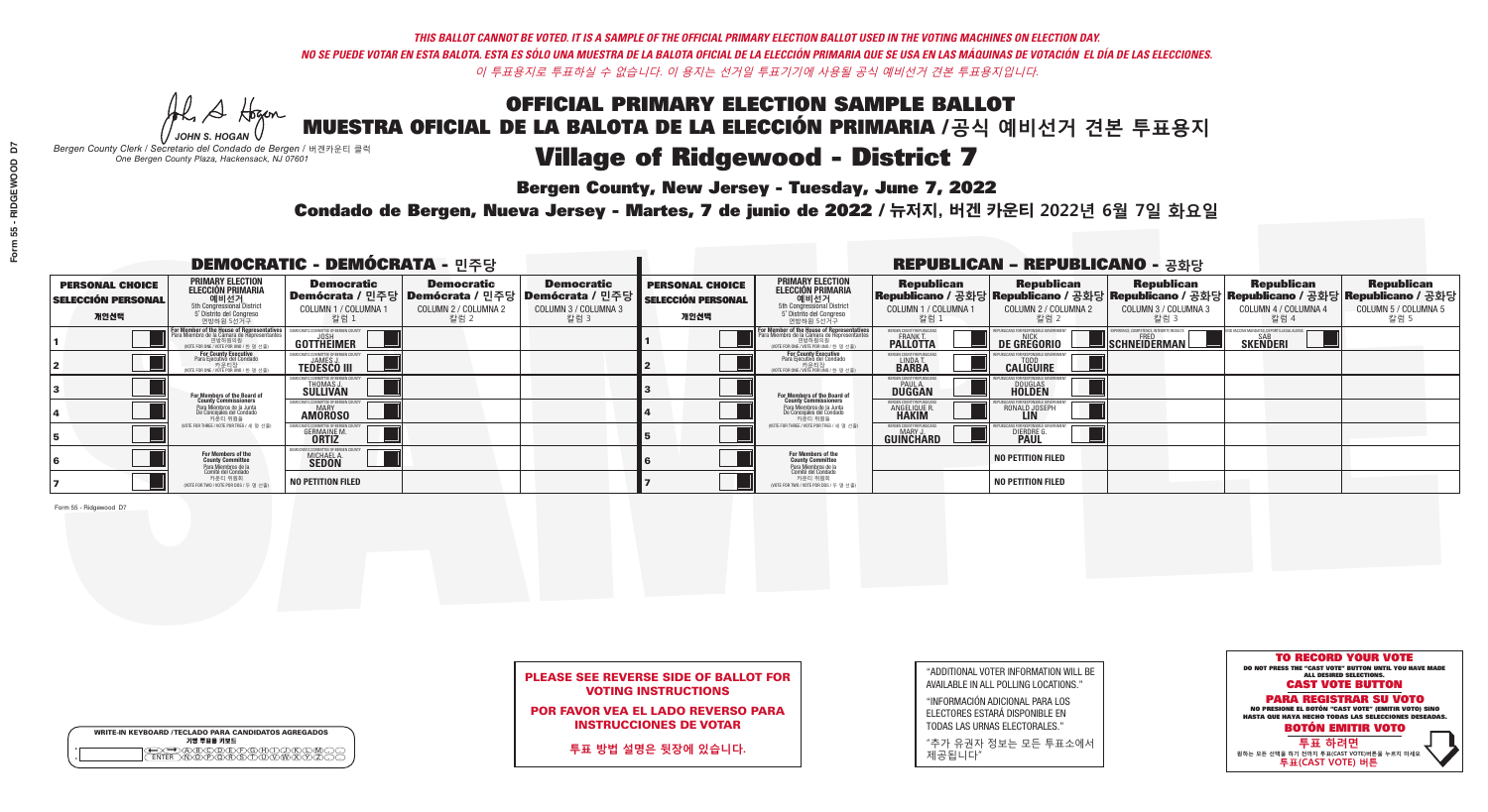**Bergen County, New Jersey - Tuesday, June 7, 2022** 

Al Stogan *JOHN S. HOGAN*

|                    | <b>WRITE-IN KEYBOARD /TECLADO PARA CANDIDATOS AGREGADOS</b><br>기명 투표용 키보드 |  |
|--------------------|---------------------------------------------------------------------------|--|
| $\circ$<br>$\circ$ |                                                                           |  |

*Bergen County Clerk / Secretario del Condado de Bergen /* 버겐카운티 클럭 *One Bergen County Plaza, Hackensack, NJ 07601*

Condado de Bergen, Nueva Jersey - Martes, 7 de junio de 2022 / 뉴저지, 버겐 카운티 2022년 6월 7일 화요일 *One Bergen County Plaza, Hackensack, NJ 07601*



## PLEASE SEE REVERSE SIDE OF BALLOT FOR VOTING INSTRUCTIONS

POR FAVOR VEA EL LADO REVERSO PARA INSTRUCCIONES DE VOTAR

**투표 방법 설명은 뒷장에 있습니다.**

| "ADDITIONAL VOTER INFORMATION WILL BE |
|---------------------------------------|
| AVAILABLE IN ALL POLLING LOCATIONS."  |
|                                       |

"INFORMACIÓN ADICIONAL PARA LOS ELECTORES ESTARÁ DISPONIBLE EN TODAS LAS URNAS ELECTORALES."

"추가 유권자 정보는 모든 투표소에서 제공됩니다"

| <b>DEMOCRATIC - DEMÓCRATA - 민주당</b>                         |                                                                                                                                               |                                                     |                                                   |                                                                                                              | <b>REPUBLICAN - REPUBLICANO - 공화당</b>                       |                                                                                                                                   |                                                                      |                                                    |                                                   |                                                                                                                                                |                                                   |  |
|-------------------------------------------------------------|-----------------------------------------------------------------------------------------------------------------------------------------------|-----------------------------------------------------|---------------------------------------------------|--------------------------------------------------------------------------------------------------------------|-------------------------------------------------------------|-----------------------------------------------------------------------------------------------------------------------------------|----------------------------------------------------------------------|----------------------------------------------------|---------------------------------------------------|------------------------------------------------------------------------------------------------------------------------------------------------|---------------------------------------------------|--|
| <b>PERSONAL CHOICE</b><br><b>SELECCIÓN PERSONAL</b><br>개인선택 | <b>PRIMARY ELECTION</b><br><b>ELECCIÓN PRIMARIA</b><br>예비선거<br>5th Congressional District<br>5° Distrito del Congreso<br>연방하원 5선거구            | <b>Democratic</b><br>COLUMN 1 / COLUMNA<br>칼럼 1     | <b>Democratic</b><br>COLUMN 2 / COLUMNA 2<br>칼럼 2 | <b>Democratic</b><br>  Demócrata / 민주당   Demócrata / 민주당   Demócrata / 민주당  <br>COLUMN 3 / COLUMNA 3<br>칼럼 3 | <b>PERSONAL CHOICE</b><br><b>SELECCIÓN PERSONAL</b><br>개인선택 | <b>PRIMARY ELECTION</b><br>ELECCIÓN PRIMARIA<br>예비선거<br>5th Congressional District<br>5 Distrito del Congreso<br>연방하원 5선거구        | <b>Republican</b><br>COLUMN 1 / COLUMNA 1<br>칼럼 1                    | <b>Republican</b><br>COLUMN 2 / COLUMNA 2<br>,칼럼 2 | <b>Republican</b><br>COLUMN 3 / COLUMNA 3<br>칼럼 3 | <b>Republican</b><br>Republicano / 공화당 Republicano / 공화당 Republicano / 공화당 Republicano / 공화당 Republicano / 공화당<br>COLUMN 4 / COLUMNA 4<br>칼럼 4 | <b>Republican</b><br>COLUMN 5 / COLUMNA 5<br>칼럼 5 |  |
|                                                             | For Member of the House of Representatives<br>Para Miembro de la Cámara de Representantes<br>연방하원의원<br>(VOTE FOR ONE / VOTE POR UNO / 한 명 선출) | COMMITTEE OF BERGEN COUNT<br>GOTTHEIMER             |                                                   |                                                                                                              |                                                             | For Member of the House of Representatives<br>Para Miembro de la Cámara de Representantes<br>WOTE FOR ONE / VOTE POR UNO / 한 명 선출 | BERGEN COUNTY REPUBLICANS<br><b>PALLOTTA</b>                         | <b>DE GREGORIO</b>                                 | SCHNEIDERMAN                                      | SAB<br><b>SKENDERI</b>                                                                                                                         |                                                   |  |
|                                                             | For County Executive<br>Para Ejecutivo del Condado<br>/OTE FOR ONE / VOTE POR UNO / 한 명 선출)                                                   | <b>TEDESCO III</b>                                  |                                                   |                                                                                                              |                                                             | For County Executive<br>Para Ejecutivo del Condado<br>.<br>VOTE FOR ONE / VOTE POR UNO / 한 명 선출                                   | BERGEN COUNTY REPUBLICAN<br>LINDAT.                                  | <b>CALIGUIRE</b>                                   |                                                   |                                                                                                                                                |                                                   |  |
|                                                             | For Members of the Board of<br>County Commissioners                                                                                           | THOMAS J.                                           |                                                   |                                                                                                              |                                                             | For Members of the Board of<br>County Commissioners                                                                               | BERGEN COUNTY REPUBLICAN<br><b>DUGGAN</b>                            | DOUGLAS<br><b>HOLDEN</b>                           |                                                   |                                                                                                                                                |                                                   |  |
|                                                             | Para Miembros de la Junta<br>De Concejales del Condado<br>카우티 위원들                                                                             | OCRATIC COMMITTEE OF BERGEN COUN'<br><b>AMOROSO</b> |                                                   |                                                                                                              |                                                             | Para Miembros de la Junta<br>De Concejales del Condado<br>카운티 위원들                                                                 | <b>FRGEN COUNTY REPUBLICAN</b><br><b>ANGELIQUE R</b><br><b>HAKIM</b> | RONALD JOSEPH<br><b>LIN</b>                        |                                                   |                                                                                                                                                |                                                   |  |
|                                                             | NOTE FOR THREE / VOTE POR TRES / 세 명 선출)                                                                                                      | <b>GERMAINE M</b><br><b>ORTIZ</b>                   |                                                   |                                                                                                              |                                                             | (VOTE FOR THREE / VOTE POR TRES / 세 명 선출)                                                                                         | BERGEN COUNTY REPUBLICAN<br>MARY J<br>GUINCHARD                      | <b>DIERDRE</b>                                     |                                                   |                                                                                                                                                |                                                   |  |
|                                                             | For Members of the<br>County Committee<br>Para Miembros de la<br>Comité del Condado                                                           | OCRATIC COMMITTEE OF BERGE<br>MICHAEL A.            |                                                   |                                                                                                              |                                                             | For Members of the<br>County Committee                                                                                            |                                                                      | <b>NO PETITION FILED</b>                           |                                                   |                                                                                                                                                |                                                   |  |
|                                                             | 카운티 위원회<br>NOTE FOR TWO / VOTE POR DOS / 두 명 선출)                                                                                              | <b>NO PETITION FILED</b>                            |                                                   |                                                                                                              |                                                             | Para Miembros de la<br>Comité del Condado<br>카운티 위원회<br>NOTE FOR TWO / VOTE POR DOS / 두 명 선출)                                     |                                                                      | <b>NO PETITION FILED</b>                           |                                                   |                                                                                                                                                |                                                   |  |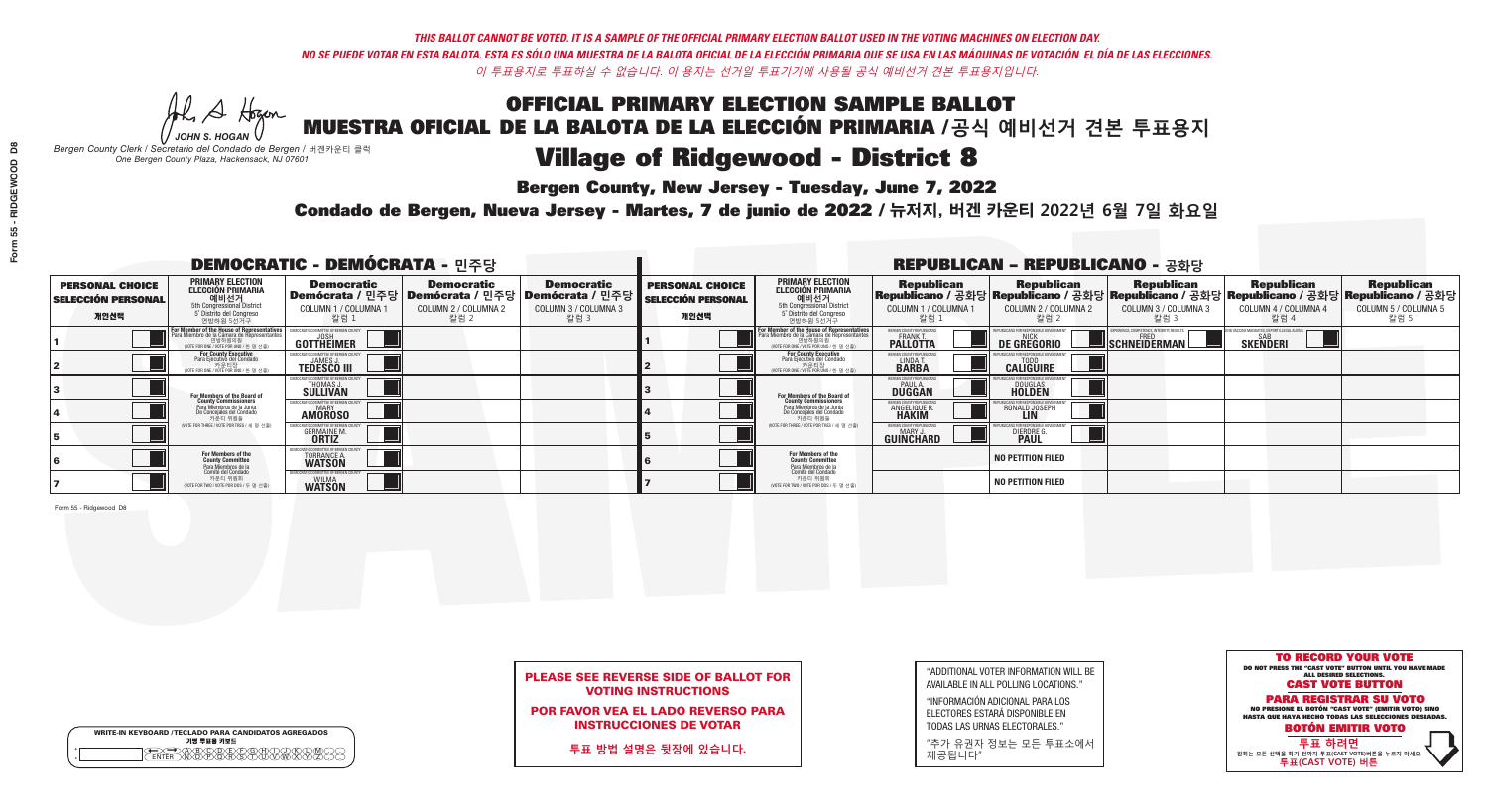**Bergen County, New Jersey - Tuesday, June 7, 2022** 

Al Stogan *JOHN S. HOGAN*

| <b>WRITE-IN KEYBOARD /TECLADO PARA CANDIDATOS AGREGADOS</b><br>기명 투표용 키보드 |
|---------------------------------------------------------------------------|
| <u>ጥጠቅ ቅ</u>                                                              |

*Bergen County Clerk / Secretario del Condado de Bergen /* 버겐카운티 클럭 *One Bergen County Plaza, Hackensack, NJ 07601*



POR FAVOR VEA EL LADO REVERSO PARA INSTRUCCIONES DE VOTAR

**투표 방법 설명은 뒷장에 있습니다.**

| "ADDITIONAL VOTER INFORMATION WILL BE |
|---------------------------------------|
| AVAILABLE IN ALL POLLING LOCATIONS."  |
|                                       |

"INFORMACIÓN ADICIONAL PARA LOS ELECTORES ESTARÁ DISPONIBLE EN TODAS LAS URNAS ELECTORALES."

"추가 유권자 정보는 모든 투표소에서 제공됩니다"

Condado de Bergen, Nueva Jersey - Martes, 7 de junio de 2022 / 뉴저지, 버겐 카운티 2022년 6월 7일 화요일 *One Bergen County Plaza, Hackensack, NJ 07601*

| <b>DEMOCRATIC - DEMÓCRATA - 민주당</b>                         |                                                                                                                                    |                                                              |                                                   |                                                                                                              | <b>REPUBLICAN - REPUBLICANO - 공화당</b>                       |                                                                                                                                   |                                                        |                                                    |                                                           |                                                                                                                                                |                                                   |
|-------------------------------------------------------------|------------------------------------------------------------------------------------------------------------------------------------|--------------------------------------------------------------|---------------------------------------------------|--------------------------------------------------------------------------------------------------------------|-------------------------------------------------------------|-----------------------------------------------------------------------------------------------------------------------------------|--------------------------------------------------------|----------------------------------------------------|-----------------------------------------------------------|------------------------------------------------------------------------------------------------------------------------------------------------|---------------------------------------------------|
| <b>PERSONAL CHOICE</b><br><b>SELECCIÓN PERSONAL</b><br>개인선택 | <b>PRIMARY ELECTION</b><br><b>ELECCIÓN PRIMARIA</b><br>예비선거<br>5th Congressional District<br>5° Distrito del Congreso<br>연방하원 5선거구 | <b>Democratic</b><br>COLUMN 1 / COLUMNA<br>칼럼 1              | <b>Democratic</b><br>COLUMN 2 / COLUMNA 2<br>칼럼 2 | <b>Democratic</b><br>  Demócrata / 민주당   Demócrata / 민주당   Demócrata / 민주당  <br>COLUMN 3 / COLUMNA 3<br>칼럼 3 | <b>PERSONAL CHOICE</b><br><b>SELECCIÓN PERSONAL</b><br>개인선택 | <b>PRIMARY ELECTION</b><br>ELECCIÓN PRIMARIA<br>예비선거<br>5th Congressional District<br>5 Distrito del Congreso<br>연방하원 5선거구        | <b>Republican</b><br>COLUMN 1 / COLUMNA 1<br>칼럼 :      | <b>Republican</b><br>COLUMN 2 / COLUMNA 2<br>,칼럼 2 | <b>Republican</b><br>COLUMN 3 / COLUMNA 3<br>칼럼 3         | <b>Republican</b><br>Republicano / 공화당 Republicano / 공화당 Republicano / 공화당 Republicano / 공화당 Republicano / 공화당<br>COLUMN 4 / COLUMNA 4<br>칼럼 4 | <b>Republican</b><br>COLUMN 5 / COLUMNA 5<br>칼럼 5 |
|                                                             | or Member of the House of Representatives<br>Para Miembro de la Cámara de Representantes<br>(VOTE FOR ONE / VOTE POR UNO / 한 명 선출) | COMMITTEE OF BERGEN COUNT<br>GOTTHËIMER                      |                                                   |                                                                                                              |                                                             | For Member of the House of Representatives<br>Para Miembro de la Cámara de Representantes<br>WOTE FOR ONE / VOTE POR UNO / 한 명 선출 | BERGEN COUNTY REPUBLICANS<br><b>PALLOTTA</b>           | DE GREGORIO                                        | 'PERIENCE, COMPETENCE, INTEGRITY, RESULTS<br>SCHNEIDERMAN | SAB<br><b>SKENDERI</b>                                                                                                                         |                                                   |
|                                                             | For County Executive<br>Para Ejecutivo del Condado<br>, 카운티장<br>/OTE FOR ONE /VOTE POR UNO / 한 명 선출)                               | <b>TEDESCO III</b>                                           |                                                   |                                                                                                              |                                                             | For County Executive<br>Para Ejecutivo del Condado<br>가운티장<br>"카운티장<br>"MOTE FOR ONE / VOTE POR UNO / 한 명 선출                      | BERGEN COUNTY REPUBLICAN<br>LINDA T.                   | <b>CALIGUIRE</b>                                   |                                                           |                                                                                                                                                |                                                   |
|                                                             | <b>For Members of the Board of<br/>County Commissioners</b>                                                                        | THOMAS J.                                                    |                                                   |                                                                                                              |                                                             | <b>For Members of the Board of<br/>County Commissioners</b>                                                                       | <b>BERGEN COUNTY REPUBLICAN<br/>PAUL A.<br/>DUGGAN</b> | <b>DOUGLAS</b>                                     |                                                           |                                                                                                                                                |                                                   |
|                                                             | Para Miembros de la Junta<br>De Concejales del Condado<br>카운티 위원들                                                                  | IC COMMITTEE OF RERGEN COLL<br><b>MARY</b><br><b>AMOROSO</b> |                                                   |                                                                                                              |                                                             | Para Miembros de la Junta<br>De Concejales del Condado<br>카운티 위원들                                                                 | <b>FRGEN COUNTY REPUBLICAN</b><br><b>ANGELIQUE R</b>   | RONALD JOSEPH<br><b>LIN</b>                        |                                                           |                                                                                                                                                |                                                   |
|                                                             | NOTE FOR THREE / VOTE POR TRES / 세 명 선출)                                                                                           | <b>GERMAINE M</b><br><b>ORTIZ</b>                            |                                                   |                                                                                                              |                                                             | (VOTE FOR THREE / VOTE POR TRES / 세 명 선출)                                                                                         | BERGEN COUNTY REPUBLICANS<br>MARY J<br>GUINCHARD       | <b>DIERDRE</b>                                     |                                                           |                                                                                                                                                |                                                   |
|                                                             | For Members of the<br>County Committee<br>Para Miembros de <mark>la</mark><br>Comité del Condado                                   | TORRANCE A.                                                  |                                                   |                                                                                                              |                                                             | For Members of the<br>County Committee                                                                                            |                                                        | <b>NO PETITION FILED</b>                           |                                                           |                                                                                                                                                |                                                   |
|                                                             | 카운티 위원회<br>(VOTE FOR TWO / VOTE POR DOS / 두 명 선출)                                                                                  | TIC COMMITTEE OF BERGEN (<br><b>WILMA</b><br><b>WATSON</b>   |                                                   |                                                                                                              |                                                             | Para Miembros de la<br>Comité del Condado<br>카운티 위원회<br>NOTE FOR TWO / VOTE POR DOS / 두 명 선출)                                     |                                                        | <b>NO PETITION FILED</b>                           |                                                           |                                                                                                                                                |                                                   |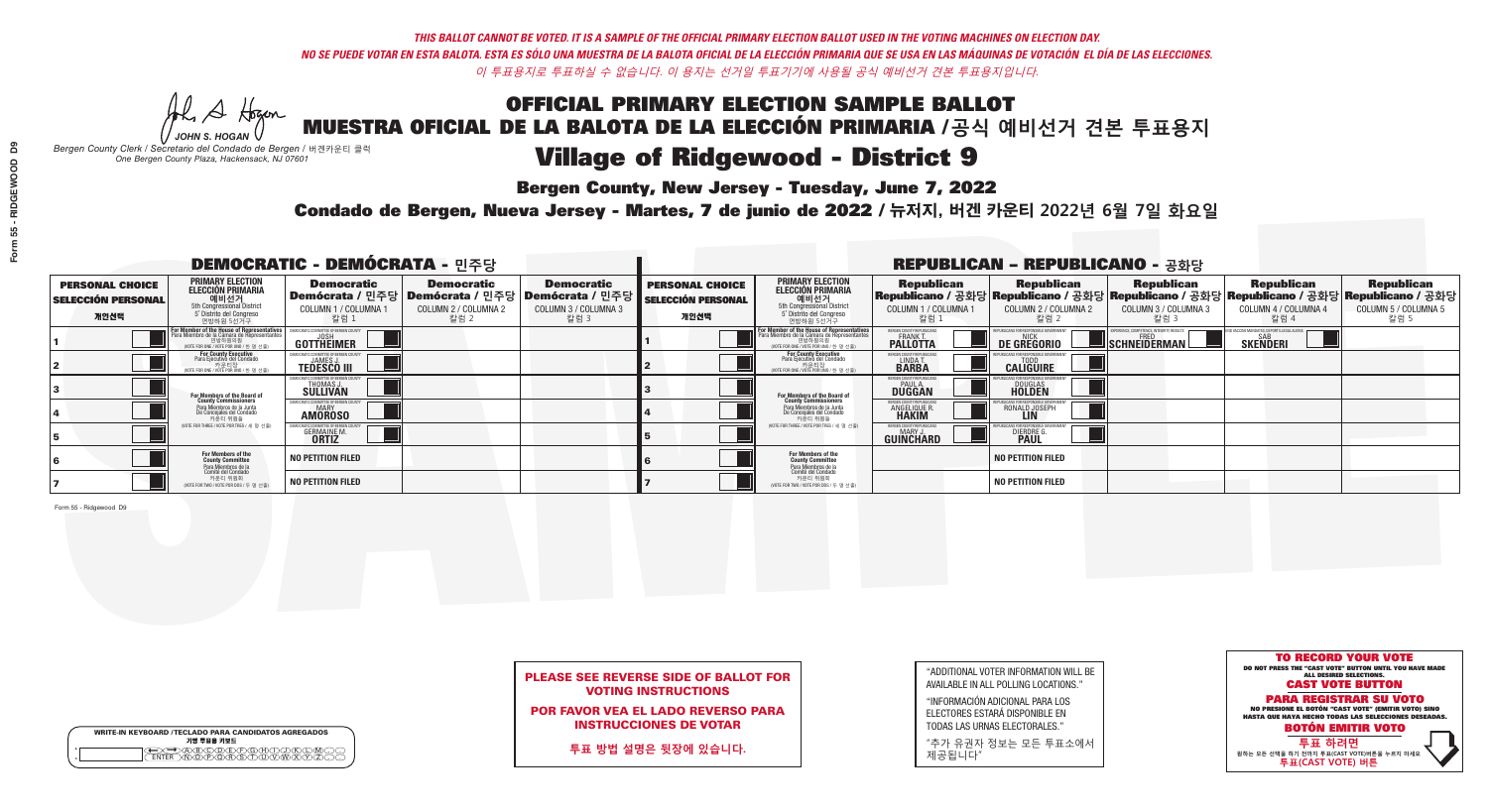**Bergen County, New Jersey - Tuesday, June 7, 2022** 

Al Stogan *JOHN S. HOGAN*

|              | <b>WRITE-IN KEYBOARD /TECLADO PARA CANDIDATOS AGREGADOS</b><br>기명 투표용 키보드 |
|--------------|---------------------------------------------------------------------------|
| ٥<br>$\circ$ | (B)C) (D) (E) (F) (G) (H)                                                 |

*Bergen County Clerk / Secretario del Condado de Bergen /* 버겐카운티 클럭 *One Bergen County Plaza, Hackensack, NJ 07601*

Condado de Bergen, Nueva Jersey - Martes, 7 de junio de 2022 / 뉴저지, 버겐 카운티 2022년 6월 7일 화요일 *One Bergen County Plaza, Hackensack, NJ 07601*



## PLEASE SEE REVERSE SIDE OF BALLOT FOR VOTING INSTRUCTIONS

POR FAVOR VEA EL LADO REVERSO PARA INSTRUCCIONES DE VOTAR

**투표 방법 설명은 뒷장에 있습니다.**

| "ADDITIONAL VOTER INFORMATION WILL BE |
|---------------------------------------|
| AVAILABLE IN ALL POLLING LOCATIONS."  |
|                                       |

"INFORMACIÓN ADICIONAL PARA LOS ELECTORES ESTARÁ DISPONIBLE EN TODAS LAS URNAS ELECTORALES."

"추가 유권자 정보는 모든 투표소에서 제공됩니다"

| <b>DEMOCRATIC - DEMÓCRATA - 민주당</b>                         |                                                                                                                                        |                                                                |                                                                                                        |                                                   | <b>REPUBLICAN - REPUBLICANO - 공화당</b>                       |                                                                                                                                           |                                                       |                                                   |                                                                                                                                                |                                                   |                                                   |  |
|-------------------------------------------------------------|----------------------------------------------------------------------------------------------------------------------------------------|----------------------------------------------------------------|--------------------------------------------------------------------------------------------------------|---------------------------------------------------|-------------------------------------------------------------|-------------------------------------------------------------------------------------------------------------------------------------------|-------------------------------------------------------|---------------------------------------------------|------------------------------------------------------------------------------------------------------------------------------------------------|---------------------------------------------------|---------------------------------------------------|--|
| <b>PERSONAL CHOICE</b><br><b>SELECCIÓN PERSONAL</b><br>개인선택 | <b>PRIMARY ELECTION</b><br>ELECCIÓN PRIMARIA<br>예비선거<br><sub>5th Congressional District</sub><br>5° Distrito del Congreso<br>연방하원 5선거구 | <b>Democratic</b><br><b>COLUMN 1 / COLUMNA</b><br>칼럼 1         | <b>Democratic</b><br>│Demócrata / 민주당│Demócrata / 민주당│Demócrata / 민주당┃<br>COLUMN 2 / COLUMNA 2<br>칼럼 2 | <b>Democratic</b><br>COLUMN 3 / COLUMNA 3<br>칼럼 3 | <b>PERSONAL CHOICE</b><br><b>SELECCIÓN PERSONAL</b><br>개인선택 | <b>PRIMARY ELECTION</b><br><b>ELECCIÓN PRIMARIA</b><br>예비선거<br>5th Congressional District<br>5 Distrito del Congreso<br>연방하원 5선거구         | <b>Republican</b><br>COLUMN 1 / COLUMNA 1<br>칼럼 :     | <b>Republican</b><br>COLUMN 2 / COLUMNA 2<br>칼럼 2 | <b>Republican</b><br>Republicano / 공화당 Republicano / 공화당 Republicano / 공화당 Republicano / 공화당 Republicano / 공화당<br>COLUMN 3 / COLUMNA 3<br>칼럼 3 | <b>Republican</b><br>COLUMN 4 / COLUMNA 4<br>칼럼 4 | <b>Republican</b><br>COLUMN 5 / COLUMNA 5<br>칼럼 5 |  |
|                                                             | For Member of the House of Representatives<br>Para Miembro de la Cámara de Representantes                                              | COMMITTEE OF BERGEN COUNT<br><b>GOTTHEIMER</b>                 |                                                                                                        |                                                   |                                                             | <b>For Member of the House of Representatives<br/>Para Miembro de la Cámara de Representantes</b><br>NOTE FOR ONE / VOTE POR UNO / 한 명 선출 | BERGEN COUNTY REPUBLICANS<br><b>PALLOTTA</b>          | DE GREGORIO                                       | YPERIENCE, COMPETENCE, INTEGRITY. RESULTS<br>SCHNEIDERMAN                                                                                      | SAB<br><b>SKENDERI</b>                            |                                                   |  |
|                                                             | For County Executive<br>Para Ejecutivo del Condado<br>OTE FOR ONE / VOTE POR UNO / 한 명 선출)                                             | <b>TEDESCO III</b>                                             |                                                                                                        |                                                   |                                                             | <b>For County Executive</b><br>Para Ejecutivo del Condado<br>,<br>가운티장<br>/OTE FOR ONE / VOTE POR UNO / 한 명 선출                            | BERGEN COUNTY REPUBLICAN<br>LINDA T.                  | <b>CALIGUIRE</b>                                  |                                                                                                                                                |                                                   |                                                   |  |
|                                                             | <b>For Members of the Board of<br/>County Commissioners</b>                                                                            | THOMAS J.                                                      |                                                                                                        |                                                   |                                                             | <b>For Members of the Board of<br/>County Commissioners</b>                                                                               | <b>BERGEN COUNTY REPUBLICAN:</b><br>PAUL A.<br>DUGGAN | <b>DOUGLAS</b>                                    |                                                                                                                                                |                                                   |                                                   |  |
|                                                             | Para Miembros de la Junta<br>De Conceiales del Condado<br>카운티 위원들                                                                      | IC COMMITTEE OF RERGEN COLIN'<br><b>MARY</b><br><b>AMOROSO</b> |                                                                                                        |                                                   |                                                             | Para Miembros de la Junta<br>De Concejales del Condado<br>카운티 위원들                                                                         | <b>RGEN COUNTY REPUBLICAN</b><br><b>ANGELIQUE R</b>   | RONALD JOSEPH<br><b>LIN</b>                       |                                                                                                                                                |                                                   |                                                   |  |
|                                                             | NOTE FOR THREE / VOTE POR TRES / 세 명 선출)                                                                                               | <b>GERMAINE M.</b><br><b>ORTIZ</b>                             |                                                                                                        |                                                   |                                                             | NOTE FOR THREE / VOTE POR TRES / 세 명 선출                                                                                                   | BERGEN COUNTY REPUBLICANS<br><b>GUINCHARD</b>         | DIERDRE                                           |                                                                                                                                                |                                                   |                                                   |  |
|                                                             | For Members of the<br>County Committee<br>Para Miembros de la<br>Comité del Condado                                                    | <b>NO PETITION FILED</b>                                       |                                                                                                        |                                                   |                                                             | For Members of the<br>County Committee<br>Para Miembros de la<br>Comité del Condado                                                       |                                                       | <b>NO PETITION FILED</b>                          |                                                                                                                                                |                                                   |                                                   |  |
|                                                             | 카운티 위원회<br>NOTE FOR TWO / VOTE POR DOS / 두 명 선출)                                                                                       | <b>NO PETITION FILED</b>                                       |                                                                                                        |                                                   |                                                             | 카운티 위원회<br>NOTE FOR TWO / VOTE POR DOS / 두 명 선출)                                                                                          |                                                       | <b>NO PETITION FILED</b>                          |                                                                                                                                                |                                                   |                                                   |  |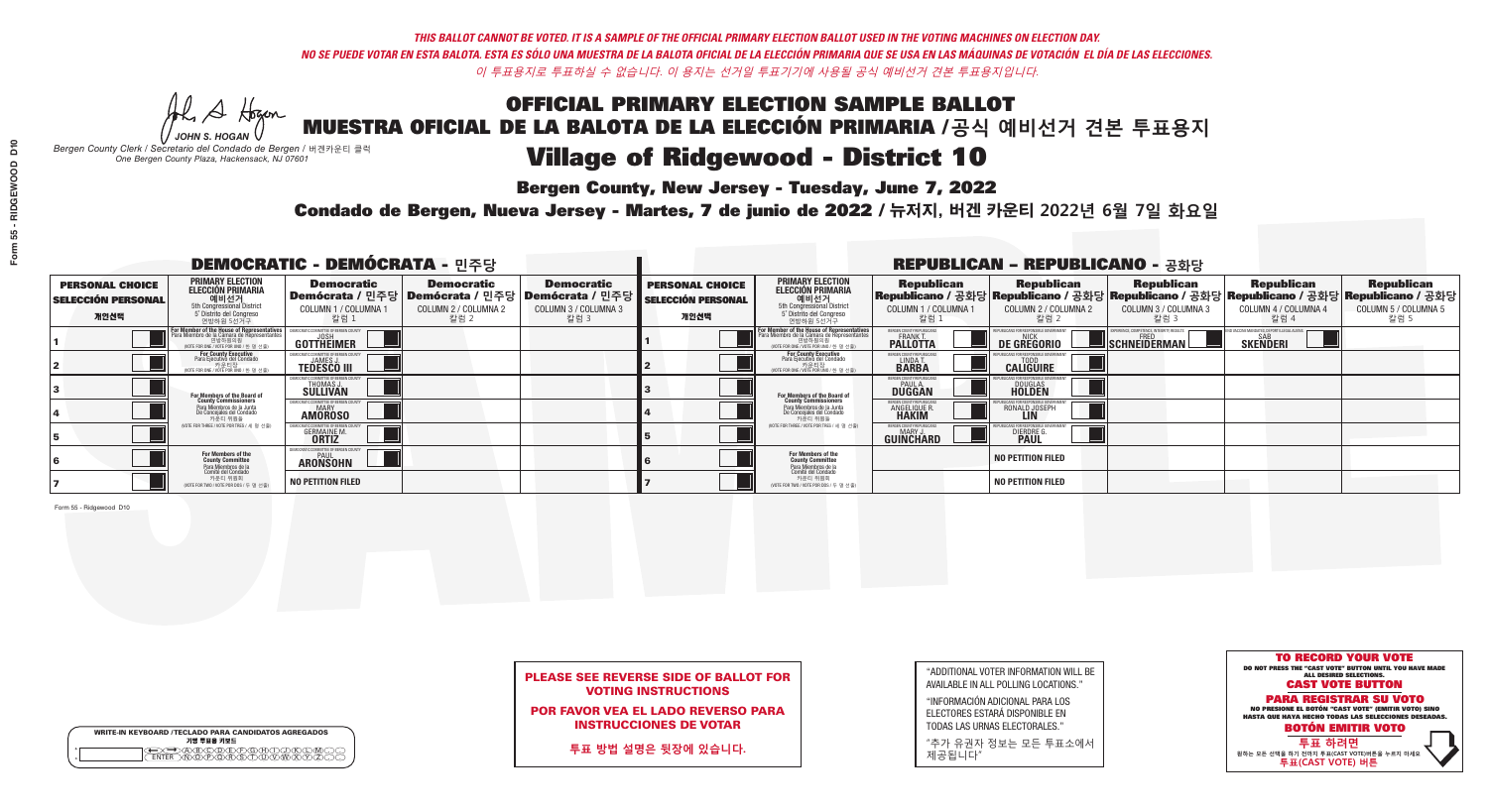**Bergen County, New Jersey - Tuesday, June 7, 2022** 

Al Stogan *JOHN S. HOGAN*

|                    | <b>WRITE-IN KEYBOARD /TECLADO PARA CANDIDATOS AGREGADOS</b><br>기명 투표용 키보드 |  |
|--------------------|---------------------------------------------------------------------------|--|
| $\circ$<br>$\circ$ |                                                                           |  |

*Bergen County Clerk / Secretario del Condado de Bergen /* 버겐카운티 클럭 *One Bergen County Plaza, Hackensack, NJ 07601*

Condado de Bergen, Nueva Jersey - Martes, 7 de junio de 2022 / 뉴저지, 버겐 카운티 2022년 6월 7일 화요일 *One Bergen County Plaza, Hackensack, NJ 07601*



## PLEASE SEE REVERSE SIDE OF BALLOT FOR VOTING INSTRUCTIONS

POR FAVOR VEA EL LADO REVERSO PARA INSTRUCCIONES DE VOTAR

**투표 방법 설명은 뒷장에 있습니다.**

| "ADDITIONAL VOTER INFORMATION WILL BE |
|---------------------------------------|
| AVAILABLE IN ALL POLLING LOCATIONS."  |
|                                       |

"INFORMACIÓN ADICIONAL PARA LOS ELECTORES ESTARÁ DISPONIBLE EN TODAS LAS URNAS ELECTORALES."

"추가 유권자 정보는 모든 투표소에서 제공됩니다"

| <b>DEMOCRATIC - DEMÓCRATA - 민주당</b>                         |                                                                                                                                                      |                                                     |                                                   |                                                                                                              | <b>REPUBLICAN - REPUBLICANO - 공화당</b>                       |                                                                                                                                                  |                                                                      |                                                                                                                                                  |                                                          |                                                   |                                                   |  |
|-------------------------------------------------------------|------------------------------------------------------------------------------------------------------------------------------------------------------|-----------------------------------------------------|---------------------------------------------------|--------------------------------------------------------------------------------------------------------------|-------------------------------------------------------------|--------------------------------------------------------------------------------------------------------------------------------------------------|----------------------------------------------------------------------|--------------------------------------------------------------------------------------------------------------------------------------------------|----------------------------------------------------------|---------------------------------------------------|---------------------------------------------------|--|
| <b>PERSONAL CHOICE</b><br><b>SELECCIÓN PERSONAL</b><br>개인선택 | <b>PRIMARY ELECTION</b><br>ELECCIÓN PRIMARIA<br>에비선거<br>5th Congressional District<br>5 <sup>*</sup> Distrito del Congreso<br>연방하원 5선거구              | <b>Democratic</b><br>COLUMN 1 / COLUMNA<br>칼럼 1     | <b>Democratic</b><br>COLUMN 2 / COLUMNA 2<br>칼럼 2 | <b>Democratic</b><br>  Demócrata / 민주당   Demócrata / 민주당   Demócrata / 민주당  <br>COLUMN 3 / COLUMNA 3<br>칼럼 3 | <b>PERSONAL CHOICE</b><br><b>SELECCIÓN PERSONAL</b><br>개인선택 | <b>PRIMARY ELECTION</b><br>ELECCIÓN PRIMARIA<br>예비선거<br>5th Congressional District<br>5 Distrito del Congreso<br>연방하원 5선거구                       | <b>Republican</b><br>COLUMN 1 / COLUMNA 1<br>"칼럼 1                   | <b>Republican</b><br> Republicano / 공화당 Republicano / 공화당 Republicano / 공화당 Republicano / 공화당 Republicano / 공화당<br>COLUMN 2 / COLUMNA 2<br>-칼럼 2 | <b>Republican</b><br>COLUMN 3 / COLUMNA 3<br>칼럼 3        | <b>Republican</b><br>COLUMN 4 / COLUMNA 4<br>칼럼 4 | <b>Republican</b><br>COLUMN 5 / COLUMNA 5<br>칼럼 5 |  |
|                                                             | <b>For Member of the House of Representatives</b><br>Para Miembro de la Cámara de Representantes<br>연방하원의원<br>(VOTE FOR ONE / VOTE POR UNO / 한 명 선출) | <b>COMMITTEE OF BERGEN COUNT</b><br>GOTTHËIMER      |                                                   |                                                                                                              |                                                             | F <mark>or Member of the House of Representatives</mark><br>Para Miembro de la Cámara de Representantes<br>NOTE FOR ONE / VOTE POR UNO / 한 명 선출) | BERGEN COUNTY REPUBLICANS<br><b>FRANK T.</b><br>PALLOTTA             | DE GREGORIO                                                                                                                                      | PERIENCE, COMPETENCE, INTEGRITY, RESULTS<br>SCHNEIDERMAN | <b>SKENDERI</b>                                   |                                                   |  |
|                                                             | For County Executive<br>Para Ejecutivo del Condado<br>/OTE FOR ONE / VOTE POR UNO / 한 명 선출)                                                          | <b>TEDESCO III</b>                                  |                                                   |                                                                                                              |                                                             | For County Executive<br>Para Ejecutivo del Condado<br>. 카운티장<br>(VOTE FOR ONE / VOTE POR UNO / 한 명 선출)                                           | BERGEN COUNTY REPUBLICAN<br>LINDA T.                                 | <b>CALIGUIRE</b>                                                                                                                                 |                                                          |                                                   |                                                   |  |
|                                                             | For Members of the Board of<br>County Commissioners                                                                                                  | THOMAS J.                                           |                                                   |                                                                                                              |                                                             | <b>For Members of the Board of County Commissioners</b>                                                                                          | BERGEN COUNTY REPUBLICAN<br><b>DUGGAN</b>                            | <b>DOUGLAS</b><br><b>HOLDEN</b>                                                                                                                  |                                                          |                                                   |                                                   |  |
|                                                             | Para Miembros de la Junta<br>De Concejales del Condado<br>카운티 위원들                                                                                    | OCRATIC COMMITTEE OF BERGEN COUN'<br><b>AMOROSO</b> |                                                   |                                                                                                              |                                                             | Para Miembros de la Junta<br>De Concejales del Condado<br>카운티 위원들                                                                                | <b>ERGEN COUNTY REPUBLICAN</b><br><b>ANGELIQUE R</b><br><b>HAKIM</b> | RONALD JOSEPH                                                                                                                                    |                                                          |                                                   |                                                   |  |
|                                                             | NOTE FOR THREE / VOTE POR TRES / 세 명 선출)                                                                                                             | <b>GERMAINE M</b><br><b>ORTIZ</b>                   |                                                   |                                                                                                              |                                                             | (VOTE FOR THREE / VOTE POR TRES / 세 명 선출)                                                                                                        | ERGEN COUNTY REPUBLICAN<br>MARY J<br><b>GUINCHARD</b>                | <b>DIERDRE</b>                                                                                                                                   |                                                          |                                                   |                                                   |  |
|                                                             | For Members of the<br>County Committee<br>Para Miembros de la<br>Comité del Condado                                                                  | MOCRATIC COMMITTEE OF BERGEN (<br><b>ARONSOHN</b>   |                                                   |                                                                                                              |                                                             | <b>For Members of the<br/>County Committee</b>                                                                                                   |                                                                      | <b>NO PETITION FILED</b>                                                                                                                         |                                                          |                                                   |                                                   |  |
|                                                             | 카운티 위원회<br>(VOTE FOR TWO / VOTE POR DOS / 두 명 선출)                                                                                                    | <b>NO PETITION FILED</b>                            |                                                   |                                                                                                              |                                                             | Para Miembros de la<br>Comité del Condado<br>카운티 위원회<br>NOTE FOR TWO / VOTE POR DOS / 두 명 선출)                                                    |                                                                      | <b>NO PETITION FILED</b>                                                                                                                         |                                                          |                                                   |                                                   |  |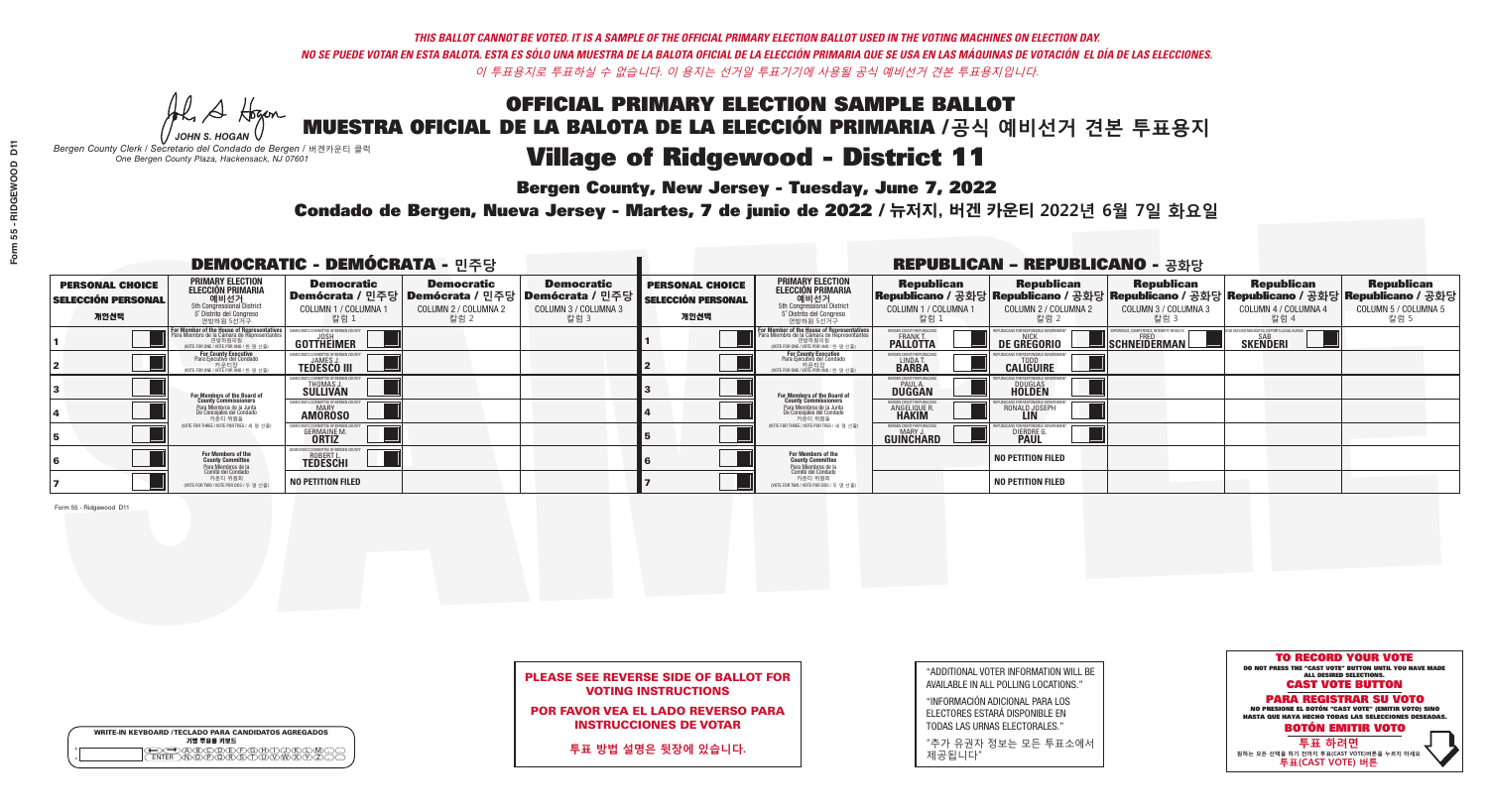# **Bergen County, New Jersey - Tuesday, June 7, 2022**

Al Stogan *JOHN S. HOGAN*

| <b>WRITE-IN KEYBOARD /TECLADO PARA CANDIDATOS AGREGADOS</b><br>기명 투표용 키보드 |  |
|---------------------------------------------------------------------------|--|
| DA®©®®®®®™©®©<br>B™®®®®®®™™™®®®<br><b>FNTFR</b>                           |  |

*Bergen County Clerk / Secretario del Condado de Bergen /* 버겐카운티 클럭 *One Bergen County Plaza, Hackensack, NJ 07601*

## Condado de Bergen, Nueva Jersey - Martes, 7 de junio de 2022 / 뉴저지, 버겐 카운티 2022년 6월 7일 화요일 *One Bergen County Plaza, Hackensack, NJ 07601*



## PLEASE SEE REVERSE SIDE OF BALLOT FOR VOTING INSTRUCTIONS

## POR FAVOR VEA EL LADO REVERSO PARA INSTRUCCIONES DE VOTAR

**투표 방법 설명은 뒷장에 있습니다.**

| "ADDITIONAL VOTER INFORMATION WILL BE |
|---------------------------------------|
| AVAILABLE IN ALL POLLING LOCATIONS."  |
|                                       |

"INFORMACIÓN ADICIONAL PARA LOS ELECTORES ESTARÁ DISPONIBLE EN TODAS LAS URNAS ELECTORALES."

"추가 유권자 정보는 모든 투표소에서 제공됩니다"

| <b>DEMOCRATIC - DEMÓCRATA - 민주당</b>                  |                                                                                                                                       |                                                                      |                                                   |                                                                                           | <b>REPUBLICAN - REPUBLICANO - 공화당</b>                       |                                                                                                                                                      |                                                             |                                                                                                                                                  |                                                   |                                                   |                                                   |  |
|------------------------------------------------------|---------------------------------------------------------------------------------------------------------------------------------------|----------------------------------------------------------------------|---------------------------------------------------|-------------------------------------------------------------------------------------------|-------------------------------------------------------------|------------------------------------------------------------------------------------------------------------------------------------------------------|-------------------------------------------------------------|--------------------------------------------------------------------------------------------------------------------------------------------------|---------------------------------------------------|---------------------------------------------------|---------------------------------------------------|--|
| <b>PERSONAL CHOICE</b><br>SELECCIÓN PERSONAL<br>개인선택 | <b>PRIMARY ELECTION</b><br>ELECCIÓN PRIMARIA<br>예비선거<br><sub>5</sub> Distrite del Congression<br>5 Distrite del Congreso<br>연방하원 5선거구 | <b>Democratic</b><br>Demócrata / 민주당<br>COLUMN 1 / COLUMNA 1<br>칼럼 1 | <b>Democratic</b><br>COLUMN 2 / COLUMNA 2<br>칼럼 2 | <b>Democratic</b><br>│Demócrata / 민주당   Demócrata / 민주당  <br>COLUMN 3 / COLUMNA 3<br>칼럼 3 | <b>PERSONAL CHOICE</b><br><b>SELECCIÓN PERSONAL</b><br>개인선택 | <b>PRIMARY ELECTION</b><br><b>ELECCIÓN PRIMARIA</b><br>예비선거<br>5th Congressional District<br>5 Distrito del Congreso<br>연방하원 5선거구                    | <b>Republican</b><br>COLUMN 1 / COLUMNA 1<br>칼럼             | <b>Republican</b><br>│Republicano / 공화당│Republicano / 공화당│Republicano / 공화당│Republicano / 공화당│Republicano / 공화당│<br>COLUMN 2 / COLUMNA 2<br>칼럼 2 | <b>Republican</b><br>COLUMN 3 / COLUMNA 3<br>칼럼 3 | <b>Republican</b><br>COLUMN 4 / COLUMNA 4<br>칼럼 4 | <b>Republican</b><br>COLUMN 5 / COLUMNA 5<br>칼럼 5 |  |
|                                                      | <b>For Member of the House of Representatives</b><br>Para Miembro de la Cámara de Representantes                                      | COMMITTEE OF BERGEN O<br>GOTTHEIMER                                  |                                                   |                                                                                           |                                                             | <b>For Member of the House of Representatives<br/>Para Miembro de la Cámara de Representantes</b><br>연방하원의원<br>(VOTE FOR ONE / VOTE POR UNO / 한 명 선출 | BERGEN COUNTY REPUBLICANS<br>FRANK T.<br><b>PALLOTTA</b>    | DE GREGORIO                                                                                                                                      | SCHNEIDERMAN                                      | <b>SKENDERI</b>                                   |                                                   |  |
|                                                      | For County Executive<br>Para Ejecutivo del Condado<br>, 카운티장<br>(VOTE FOR ONE / VOTE POR UNO / 한 명 선출)                                | <b>TEDESCO III</b>                                                   |                                                   |                                                                                           |                                                             | For County Executive<br>Para Ejecutivo del Condado<br>7) 카운티장<br>(VOTE FOR ONE / VOTE POR UNO / 한 명 선출)                                              | BERGEN COUNTY REPUBLICA<br>LINDA T.                         | <b>CALIGUIRE</b>                                                                                                                                 |                                                   |                                                   |                                                   |  |
|                                                      | <b>For Members of the Board of<br/>County Commissioners</b>                                                                           | IOCRATIC COMMITTEE OF BERGEN CONTRETTION<br>THOMAS J.<br>SULLIVAN    |                                                   |                                                                                           |                                                             | For Members of the Board of<br>County Commissioners                                                                                                  | <b>BERGEN COUNTY REPUBLICAL</b><br>PAUL A.<br><b>DUGGAN</b> | <b>DOUGLAS</b>                                                                                                                                   |                                                   |                                                   |                                                   |  |
|                                                      | Para Miembros de la Junta<br>De Concejales del Condado<br>카우티 위원들                                                                     | ATIC COMMITTEE OF BERGEN COUNTY<br><b>MARY</b><br><b>AMÖRÖSO</b>     |                                                   |                                                                                           |                                                             | Para Miembros de la Junta<br>De Concejales del Condado<br>카운티 위원들                                                                                    | ERGEN COUNTY REPUBLICA!<br><b>ANGELIQUE F</b>               | RONALD JOSEPH                                                                                                                                    |                                                   |                                                   |                                                   |  |
|                                                      | (VOTE FOR THREE / VOTE POR TRES / 세 명 선출)                                                                                             | <b>GERMAINE M.</b><br><b>ORTIZ</b>                                   |                                                   |                                                                                           |                                                             | (VOTE FOR THREE / VOTE POR TRES / 세 명 선출)                                                                                                            | ERGEN COUNTY REPUBLICAN<br><b>GUINCHARD</b>                 | <b>DIERDRE G</b><br><b>PAUL</b>                                                                                                                  |                                                   |                                                   |                                                   |  |
|                                                      | For Members of the<br>County Committee<br>Para Miembros de la<br>Comité del Condado                                                   | <b>ROBERT L</b><br><b>TEDESCHI</b>                                   |                                                   |                                                                                           |                                                             | For Members of the<br>County Committee<br>Para Miembros de la<br>Comité del Condado                                                                  |                                                             | <b>NO PETITION FILED</b>                                                                                                                         |                                                   |                                                   |                                                   |  |
|                                                      | 카운티 위원회<br>(VOTE FOR TWO / VOTE POR DOS / 두 명 선출)                                                                                     | <b>NO PETITION FILED</b>                                             |                                                   |                                                                                           |                                                             | 카운티 위원회<br>(VOTE FOR TWO / VOTE POR DOS / 두 명 선출)                                                                                                    |                                                             | <b>NO PETITION FILED</b>                                                                                                                         |                                                   |                                                   |                                                   |  |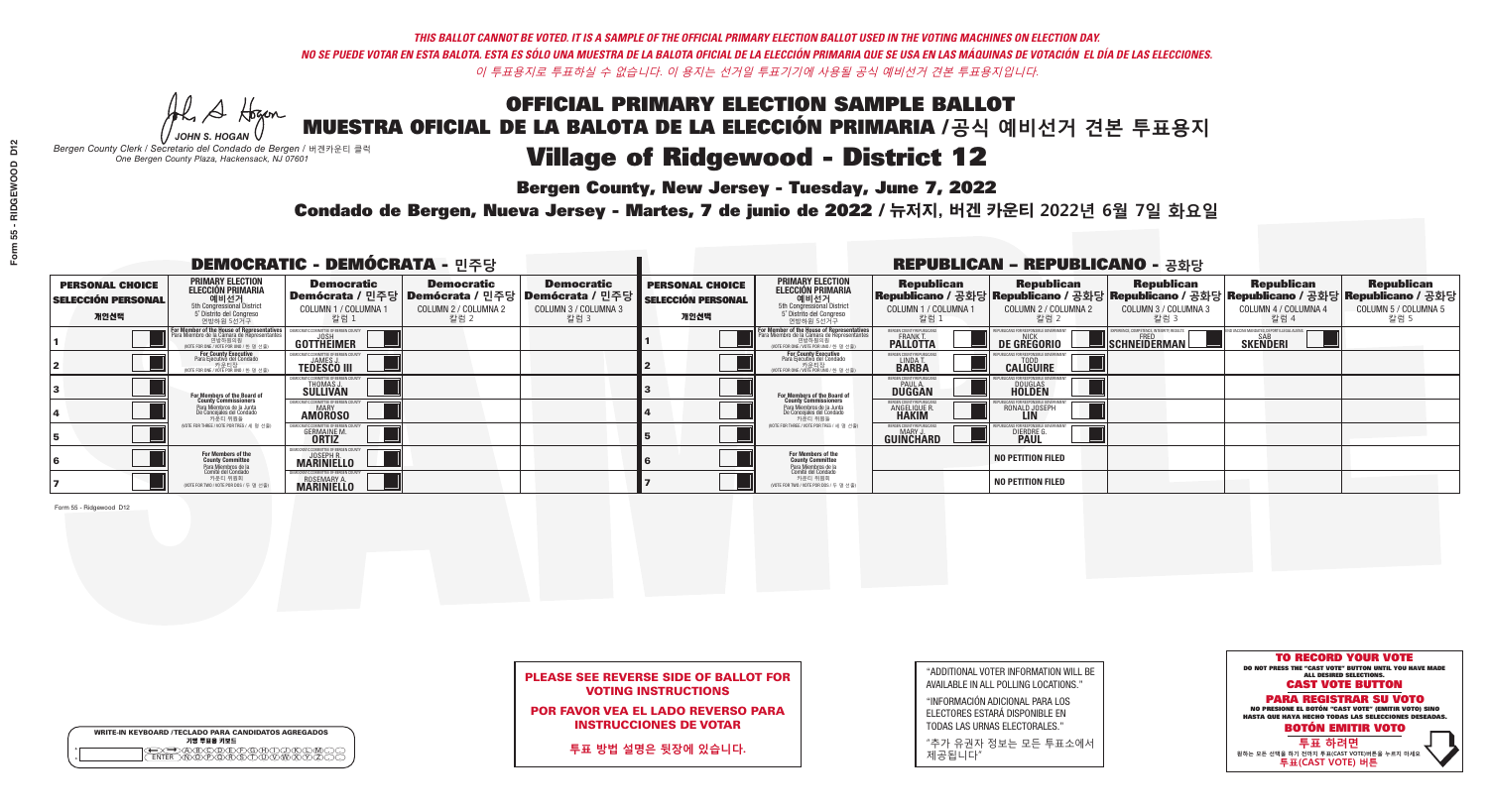# **Bergen County, New Jersey - Tuesday, June 7, 2022**

Al Stogan *JOHN S. HOGAN*

*Bergen County Clerk / Secretario del Condado de Bergen /* 버겐카운티 클럭 *One Bergen County Plaza, Hackensack, NJ 07601*



## PLEASE SEE REVERSE SIDE OF BALLOT FOR VOTING INSTRUCTIONS

## POR FAVOR VEA EL LADO REVERSO PARA INSTRUCCIONES DE VOTAR

**투표 방법 설명은 뒷장에 있습니다.**

| <b>WRITE-IN KEYBOARD /TECLADO PARA CANDIDATOS AGREGADO</b><br>기명 투표용 키보드 |
|--------------------------------------------------------------------------|

 $\bigoplus \bigoplus \mathbb{A} \oplus \mathbb{C} \oplus \mathbb{C} \oplus \mathbb{C} \oplus \mathbb{C} \oplus \mathbb{C} \cup \mathbb{W} \oplus \mathbb{Z} \oplus \mathbb{Z} \oplus \mathbb{C}$ 

| "ADDITIONAL VOTER INFORMATION WILL BE |
|---------------------------------------|
| AVAILABLE IN ALL POLLING LOCATIONS."  |
|                                       |

"INFORMACIÓN ADICIONAL PARA LOS ELECTORES ESTARÁ DISPONIBLE EN TODAS LAS URNAS ELECTORALES."

"추가 유권자 정보는 모든 투표소에서 제공됩니다"

## Condado de Bergen, Nueva Jersey - Martes, 7 de junio de 2022 / 뉴저지, 버겐 카운티 2022년 6월 7일 화요일 *One Bergen County Plaza, Hackensack, NJ 07601*

| <b>DEMOCRATIC - DEMÓCRATA - 민주당</b>                         |                                                                                                                                               |                                                                          |                                                   |                                                                                                        | <b>REPUBLICAN - REPUBLICANO - 공화당</b>                       |                                                                                                                                                       |                                                          |                                                    |                                                   |                                                                                                                                                |                                                   |
|-------------------------------------------------------------|-----------------------------------------------------------------------------------------------------------------------------------------------|--------------------------------------------------------------------------|---------------------------------------------------|--------------------------------------------------------------------------------------------------------|-------------------------------------------------------------|-------------------------------------------------------------------------------------------------------------------------------------------------------|----------------------------------------------------------|----------------------------------------------------|---------------------------------------------------|------------------------------------------------------------------------------------------------------------------------------------------------|---------------------------------------------------|
| <b>PERSONAL CHOICE</b><br><b>SELECCIÓN PERSONAL</b><br>개인선택 | <b>PRIMARY ELECTION</b><br><b>ELECCIÓN PRIMARIA</b><br>예비선거<br>5th Congressional District<br>5° Distrito del Congreso<br>연방하원 5선거구            | <b>Democratic</b><br>COLUMN 1 / COLUMNA 1<br>칼럼 1                        | <b>Democratic</b><br>COLUMN 2 / COLUMNA 2<br>칼럼 2 | <b>Democratic</b><br>│Demócrata / 민주당│Demócrata / 민주당│Demócrata / 민주당┃<br>COLUMN 3 / COLUMNA 3<br>칼럼 3 | <b>PERSONAL CHOICE</b><br><b>SELECCIÓN PERSONAL</b><br>개인선택 | <b>PRIMARY ELECTION</b><br><b>ELECCIÓN PRIMARIA</b><br>예비선거<br>5th Congressional District<br>5 Distrito del Congreso<br>연방하원 5선거구                     | <b>Republican</b><br>COLUMN 1 / COLUMNA 1<br>칼럼          | <b>Republican</b><br>COLUMN 2 / COLUMNA 2<br>-칼럼 2 | <b>Republican</b><br>COLUMN 3 / COLUMNA 3<br>칼럼 3 | <b>Republican</b><br>Republicano / 공화당 Republicano / 공화당 Republicano / 공화당 Republicano / 공화당 Republicano / 공화당<br>COLUMN 4 / COLUMNA 4<br>칼럼 4 | <b>Republican</b><br>COLUMN 5 / COLUMNA 5<br>칼럼 5 |
|                                                             | For Member of the House of Representatives<br>Para Miembro de la Cámara de Representantes<br>연방하원의원<br>(VOTE FOR ONE / VOTE POR UNO / 한 명 선출) | GOTTHEIMER                                                               |                                                   |                                                                                                        |                                                             | <b>For Member of the House of Representative:<br/>Para Miembro de la Cámara de Representante:</b><br>연방하원의원<br>(VOTE FOR ONE / VOTE POR UNO / 한 명 선출) | BERGEN COUNTY REPUBLICANS<br>FRANK T.<br><b>PALLOTTA</b> | DE GREGORIO                                        | SCHNEIDERMAN                                      | <b>SKENDERI</b>                                                                                                                                |                                                   |
|                                                             | For County Executive<br>Para Ejecutivo del Condado<br>가운티장<br>VOTE FOR ONE / VOTE POR UNO / 한 명 선출)                                           | <b>TEDESCO III</b>                                                       |                                                   |                                                                                                        |                                                             | <b>For County Executive</b><br>Para Ejecutivo del Condado<br>7) 카운티장<br>(VOTE FOR ONE / VOTE POR UNO / 한 명 선출)                                        | BERGEN COUNTY REPUBLICA<br>LINDAT.                       | <b>CALIGUIRE</b>                                   |                                                   |                                                                                                                                                |                                                   |
|                                                             | <b>For Members of the Board of<br/>County Commissioners</b>                                                                                   | MOCRATIC COMMITTEE OF BERGEN CI<br>THOMAS J.<br>SULLIVAN                 |                                                   |                                                                                                        |                                                             | For Members of the Board of<br>County Commissioners                                                                                                   | <b>BERGEN COUNTY REPUBLICAN<br/>PAUL A.<br/>DUGGAN</b>   | <b>DOUGLAS</b>                                     |                                                   |                                                                                                                                                |                                                   |
|                                                             | Para Miembros de la Junta<br>De Concejales del Condado<br>카우티 위원들                                                                             | CRATIC COMMITTEE OF BERGEN COUNTY<br><b>AMOROSO</b>                      |                                                   |                                                                                                        |                                                             | Para Miembros de la Junta<br>De Concejales del Condado<br>카운티 위원들                                                                                     | ERGEN COUNTY REPUBLICAN<br><b>ANGELIQUE F</b>            | RONALD JOSEPH                                      |                                                   |                                                                                                                                                |                                                   |
|                                                             | (VOTE FOR THREE / VOTE POR TRES / 세 명 선출)                                                                                                     | <b>GERMAINE M.</b>                                                       |                                                   |                                                                                                        |                                                             | (VOTE FOR THREE / VOTE POR TRES / 세 명 선출)                                                                                                             | ERGEN COUNTY REPUBLICAN<br><b>GUINCHARD</b>              | DIERDRE G                                          |                                                   |                                                                                                                                                |                                                   |
|                                                             | For Members of the<br>County Committee<br><sup>p</sup> ara Miembros de la<br>Comité del Condado                                               | EMOCRATIC COMMITTEE OF BERGEN COUNT<br>JOSEPH R.<br>MARINIELLO           |                                                   |                                                                                                        |                                                             | For Members of the<br>County Committee                                                                                                                |                                                          | <b>NO PETITION FILED</b>                           |                                                   |                                                                                                                                                |                                                   |
|                                                             | 카운티 위원회<br>(VOTE FOR TWO / VOTE POR DOS / 두 명 선출)                                                                                             | EMOCRATIC COMMITTEE OF BERGEN COUNTY<br>ROSEMARY A.<br><b>MARINIELLO</b> |                                                   |                                                                                                        |                                                             | Para Miembros de la<br>Comité del Condado<br>카운티 위원회<br>VOTE FOR TWO / VOTE POR DOS / 두 명 선출)                                                         |                                                          | <b>NO PETITION FILED</b>                           |                                                   |                                                                                                                                                |                                                   |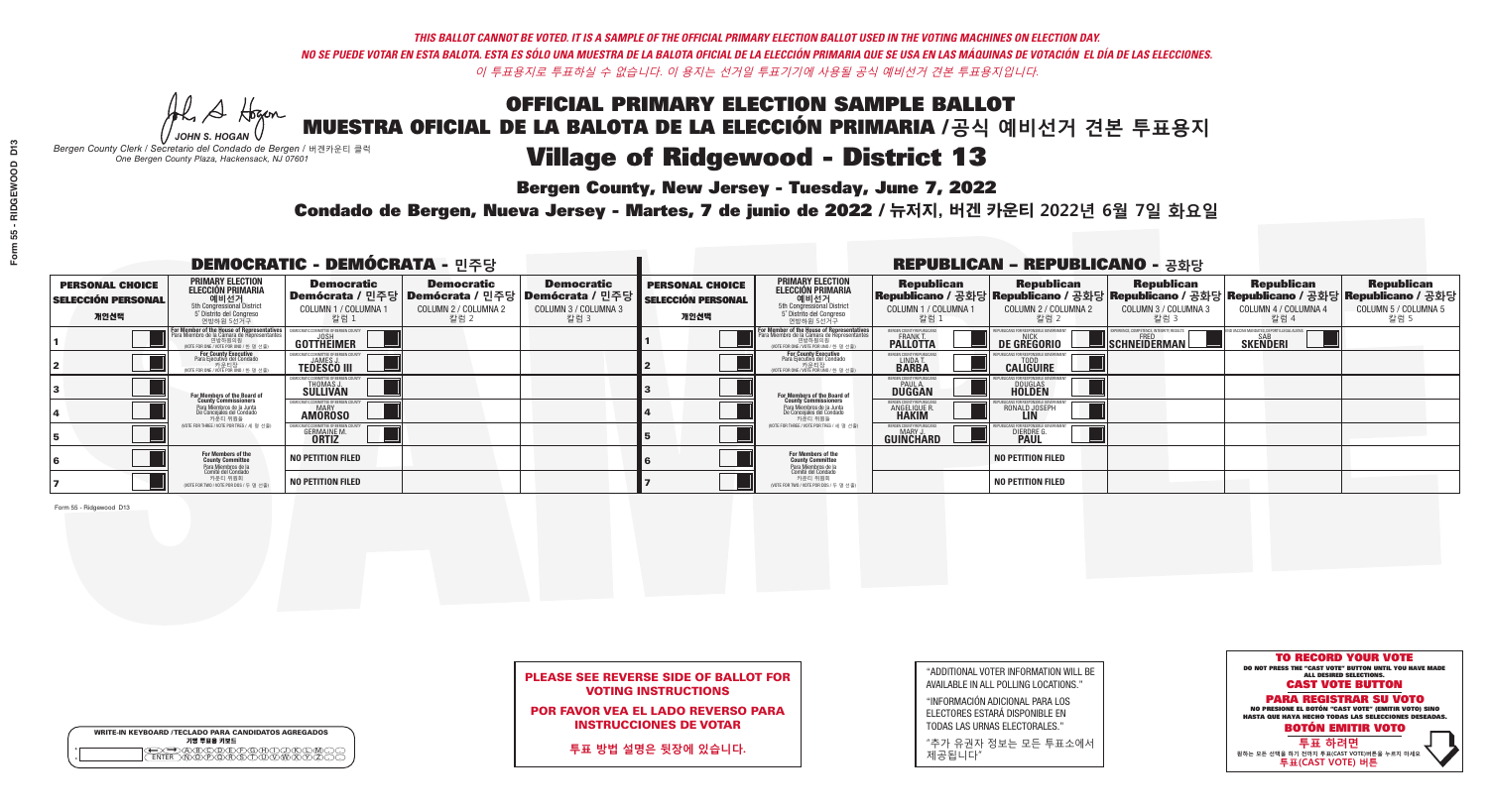**Bergen County, New Jersey - Tuesday, June 7, 2022** 

Al Stogan *JOHN S. HOGAN*

|                    | <b>WRITE-IN KEYBOARD /TECLADO PARA CANDIDATOS AGREGADOS</b><br>기명 투표용 키보드 |
|--------------------|---------------------------------------------------------------------------|
| $\circ$<br>$\circ$ | ∧∩∧ਣ                                                                      |

*Bergen County Clerk / Secretario del Condado de Bergen /* 버겐카운티 클럭 *One Bergen County Plaza, Hackensack, NJ 07601*

Condado de Bergen, Nueva Jersey - Martes, 7 de junio de 2022 / 뉴저지, 버겐 카운티 2022년 6월 7일 화요일 *One Bergen County Plaza, Hackensack, NJ 07601*



## PLEASE SEE REVERSE SIDE OF BALLOT FOR VOTING INSTRUCTIONS

POR FAVOR VEA EL LADO REVERSO PARA INSTRUCCIONES DE VOTAR

**투표 방법 설명은 뒷장에 있습니다.**

| "ADDITIONAL VOTER INFORMATION WILL BE |
|---------------------------------------|
| AVAILABLE IN ALL POLLING LOCATIONS."  |
|                                       |

"INFORMACIÓN ADICIONAL PARA LOS ELECTORES ESTARÁ DISPONIBLE EN TODAS LAS URNAS ELECTORALES."

"추가 유권자 정보는 모든 투표소에서 제공됩니다"

| <b>DEMOCRATIC - DEMÓCRATA - 민주당</b>                         |                                                                                                                                         |                                                               |                                                   |                                                                                                              |                                                             |                                                                                                                                                  |                                                                      | <b>REPUBLICAN - REPUBLICANO - 공화당</b>                                                                                                            |                                                          |                                                              |                                                   |
|-------------------------------------------------------------|-----------------------------------------------------------------------------------------------------------------------------------------|---------------------------------------------------------------|---------------------------------------------------|--------------------------------------------------------------------------------------------------------------|-------------------------------------------------------------|--------------------------------------------------------------------------------------------------------------------------------------------------|----------------------------------------------------------------------|--------------------------------------------------------------------------------------------------------------------------------------------------|----------------------------------------------------------|--------------------------------------------------------------|---------------------------------------------------|
| <b>PERSONAL CHOICE</b><br><b>SELECCIÓN PERSONAL</b><br>개인선택 | <b>PRIMARY ELECTION</b><br>ELECCIÓN PRIMARIA<br>에비선거<br>5th Congressional District<br>5 <sup>*</sup> Distrito del Congreso<br>연방하원 5선거구 | <b>Democratic</b><br>COLUMN 1 / COLUMNA<br>칼럼 1               | <b>Democratic</b><br>COLUMN 2 / COLUMNA 2<br>칼럼 2 | <b>Democratic</b><br>  Demócrata / 민주당   Demócrata / 민주당   Demócrata / 민주당  <br>COLUMN 3 / COLUMNA 3<br>칼럼 3 | <b>PERSONAL CHOICE</b><br><b>SELECCIÓN PERSONAL</b><br>개인선택 | <b>PRIMARY ELECTION</b><br><b>ELECCIÓN PRIMARIA</b><br>예비선거<br>5th Congressional District<br>5 Distrito del Congreso<br>연방하원 5선거구                | <b>Republican</b><br>COLUMN 1 / COLUMNA 1<br>"칼럼 1                   | <b>Republican</b><br> Republicano / 공화당 Republicano / 공화당 Republicano / 공화당 Republicano / 공화당 Republicano / 공화당<br>COLUMN 2 / COLUMNA 2<br>-칼럼 2 | <b>Republican</b><br>COLUMN 3 / COLUMNA 3<br>칼럼 3        | <b>Republican</b><br>COLUMN 4 / COLUMNA 4<br>칼럼 4            | <b>Republican</b><br>COLUMN 5 / COLUMNA 5<br>칼럼 5 |
|                                                             | For Member of the House of Representatives<br>Para Miembro de la Cámara de Representantes<br>WOTE FOR ONE / VOTE POR UNO / 한 명 선출)      | DEMOCRATIC COMMITTEE OF BERGEN COUN'<br>GOTTHËIMER            |                                                   |                                                                                                              |                                                             | F <mark>or Member of the House of Representatives</mark><br>Para Miembro de la Cámara de Representantes<br>NOTE FOR ONE / VOTE POR UNO / 한 명 선출) | BERGEN COUNTY REPUBLICANS<br><b>FRANK T.</b><br><b>PALLOTTA</b>      | <b>DE GREGORIO</b>                                                                                                                               | PERIENCE, COMPETENCE, INTEGRITY, RESULTS<br>SCHNEIDERMAN | VD VACCINE MANDATES, DEPORT ILLEGAL ALIEN<br><b>SKENDERI</b> |                                                   |
|                                                             | For County Executive<br>Para Ejecutivo del Condado<br>, 카운티장<br>/OTE FOR ONE /VOTE POR UNO / 한 명 선출)                                    | <b>JAMES J</b><br><b>TEDESCO III</b>                          |                                                   |                                                                                                              |                                                             | For County Executive<br>Para Ejecutivo del Condado<br>. 카운티장<br>(VOTE FOR ONE / VOTE POR UNO / 한 명 선출)                                           | BERGEN COUNTY REPUBLICAN<br>LINDA T.                                 | <b>CALIGUIRE</b>                                                                                                                                 |                                                          |                                                              |                                                   |
|                                                             | <b>For Members of the Board of<br/>County Commissioners</b>                                                                             | <b>THOMAS J.</b><br><b>SULLIVAN</b>                           |                                                   |                                                                                                              |                                                             | <b>For Members of the Board of County Commissioners</b>                                                                                          | BERGEN COUNTY REPUBLICAN<br><b>PAUL A.</b><br><b>DUGGAN</b>          | <b>DOUGLAS</b>                                                                                                                                   |                                                          |                                                              |                                                   |
|                                                             | Para Miembros de la Junta<br>De Concejales del Condado<br>카운티 위원들                                                                       | TIC COMMITTEE OF RERGEN COUN<br><b>MARY</b><br><b>AMOROSO</b> |                                                   |                                                                                                              |                                                             | Para Miembros de la Junta<br>De Concejales del Condado<br>카운티 위원들                                                                                | <b>FRGEN COUNTY REPUBLICAN</b><br><b>ANGELIQUE R</b><br><b>HAKIM</b> | RONALD JOSEPH                                                                                                                                    |                                                          |                                                              |                                                   |
|                                                             | NOTE FOR THREE / VOTE POR TRES / 세 명 선출)                                                                                                | <b>GERMAINE M.</b>                                            |                                                   |                                                                                                              |                                                             | (VOTE FOR THREE / VOTE POR TRES / 세 명 선출)                                                                                                        | <b>ERGEN COUNTY REPUBLICANS</b><br>MARY J.<br><b>GUINCHARD</b>       | <b>DIERDRE</b>                                                                                                                                   |                                                          |                                                              |                                                   |
|                                                             | For Members of the<br>County Committee<br>Para Miembros de la<br>Comité del Condado                                                     | <b>NO PETITION FILED</b>                                      |                                                   |                                                                                                              |                                                             | For Members of the<br>County Committee<br>Para Miembros de la<br>Comité del Condado                                                              |                                                                      | <b>NO PETITION FILED</b>                                                                                                                         |                                                          |                                                              |                                                   |
|                                                             | 카운티 위원회<br>(VOTE FOR TWO / VOTE POR DOS / 두 명 선출)                                                                                       | <b>NO PETITION FILED</b>                                      |                                                   |                                                                                                              |                                                             | 카운티 위원회<br>NOTE FOR TWO / VOTE POR DOS / 두 명 선출)                                                                                                 |                                                                      | <b>NO PETITION FILED</b>                                                                                                                         |                                                          |                                                              |                                                   |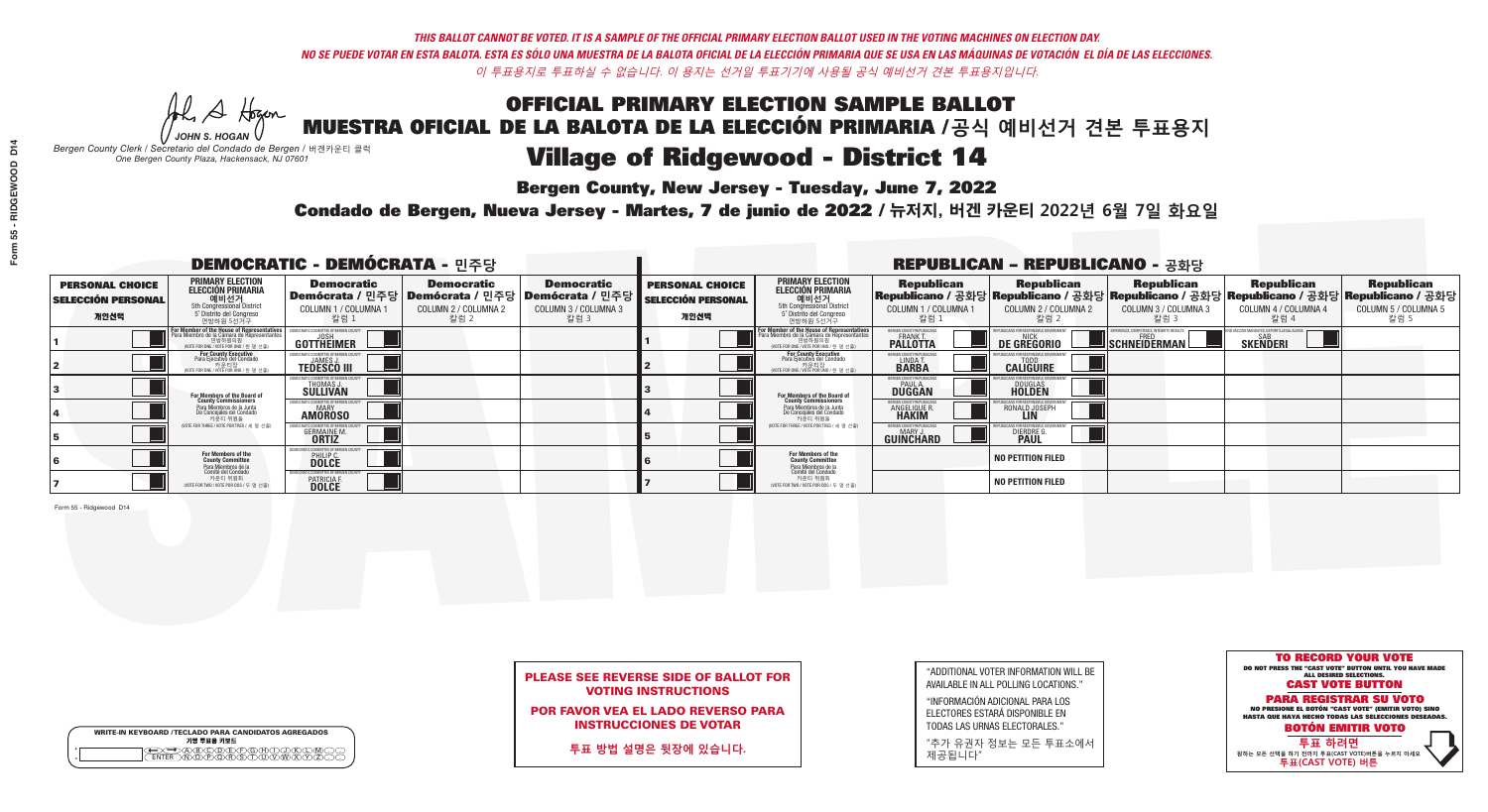**Bergen County, New Jersey - Tuesday, June 7, 2022** 

Al Stogan *JOHN S. HOGAN*

|         | <b>WRITE-IN KEYBOARD /TECLADO PARA CANDIDATOS AGREGADOS</b><br>기명 투표용 키보드 |
|---------|---------------------------------------------------------------------------|
| $\circ$ | ነለችለቅ                                                                     |

*Bergen County Clerk / Secretario del Condado de Bergen /* 버겐카운티 클럭 *One Bergen County Plaza, Hackensack, NJ 07601*



## PLEASE SEE REVERSE SIDE OF BALLOT FOR VOTING INSTRUCTIONS

POR FAVOR VEA EL LADO REVERSO PARA INSTRUCCIONES DE VOTAR

**투표 방법 설명은 뒷장에 있습니다.**

| "ADDITIONAL VOTER INFORMATION WILL BE |
|---------------------------------------|
| AVAILABLE IN ALL POLLING LOCATIONS."  |
|                                       |

"INFORMACIÓN ADICIONAL PARA LOS ELECTORES ESTARÁ DISPONIBLE EN TODAS LAS URNAS ELECTORALES."

"추가 유권자 정보는 모든 투표소에서 제공됩니다"

Condado de Bergen, Nueva Jersey - Martes, 7 de junio de 2022 / 뉴저지, 버겐 카운티 2022년 6월 7일 화요일 *One Bergen County Plaza, Hackensack, NJ 07601*

| <b>DEMOCRATIC - DEMÓCRATA - 민주당</b>                         |                                                                                                                                                             |                                                                    |                                                   |                                                                                                                   | <b>REPUBLICAN - REPUBLICANO - 공화당</b>                       |                                                                                                                                                  |                                                                 |                                                                                                                                                 |                                                           |                                                               |                                                   |  |
|-------------------------------------------------------------|-------------------------------------------------------------------------------------------------------------------------------------------------------------|--------------------------------------------------------------------|---------------------------------------------------|-------------------------------------------------------------------------------------------------------------------|-------------------------------------------------------------|--------------------------------------------------------------------------------------------------------------------------------------------------|-----------------------------------------------------------------|-------------------------------------------------------------------------------------------------------------------------------------------------|-----------------------------------------------------------|---------------------------------------------------------------|---------------------------------------------------|--|
| <b>PERSONAL CHOICE</b><br><b>SELECCIÓN PERSONAL</b><br>개인선택 | <b>PRIMARY ELECTION</b><br>ELECCIÓN PRIMARIA<br>에비선거<br>5th Congressional District<br>5 <sup>*</sup> Distrite del Congreso<br>연방하원 5선거구                     | <b>Democratic</b><br>COLUMN 1 / COLUMNA<br>칼럼 1                    | <b>Democratic</b><br>COLUMN 2 / COLUMNA 2<br>칼럼 2 | <b>Democratic</b><br>  Demócrata / 민주당   Demócrata / 민주당   Demócrata / 민주당<br><b>COLUMN 3 / COLUMNA 3</b><br>칼럼 3 | <b>PERSONAL CHOICE</b><br><b>SELECCIÓN PERSONAL</b><br>개인선택 | <b>PRIMARY ELECTION</b><br><b>ELECCIÓN PRIMARIA</b><br>예비선거<br>5th Congressional District<br>5 Distrito del Congreso<br>연방하원 5선거구                | <b>Republican</b><br>COLUMN 1 / COLUMNA 1<br>"칼럼 1              | <b>Republican</b><br>Republicano / 공화당 Republicano / 공화당 Republicano / 공화당 Republicano / 공화당 Republicano / 공화당<br>COLUMN 2 / COLUMNA 2<br>-칼럼 2 | <b>Republican</b><br>COLUMN 3 / COLUMNA 3<br>칼럼 3         | <b>Republican</b><br>COLUMN 4 / COLUMNA 4<br>칼럼 4             | <b>Republican</b><br>COLUMN 5 / COLUMNA 5<br>칼럼 5 |  |
|                                                             | F <mark>or Member of the House of Representatives</mark><br>Para Miembro de la Cámara de Representantes<br>연방하원의원<br>(VOTE FOR ONE / VOTE POR UNO / 한 명 선출) | DEMOCRATIC COMMITTEE OF BERGEN COUN<br>GOTTHEIMER                  |                                                   |                                                                                                                   |                                                             | F <mark>or Member of the House of Representatives</mark><br>Para Miembro de la Cámara de Representantes<br>NOTE FOR ONE / VOTE POR UNO / 한 명 선출) | BERGEN COUNTY REPUBLICANS<br><b>FRANK T.</b><br><b>PALLOTTA</b> | DE GREGORIO                                                                                                                                     | XPERIENCE, COMPETENCE, INTEGRITY, RESULTS<br>SCHNEIDERMAN | ND VACCINE MANDATES, DEPORT ILLEGAL ALIENS<br><b>SKENDERI</b> |                                                   |  |
|                                                             | For County Executive<br>Para Ejecutivo del Condado<br>vOTE FOR ONE / VOTE POR UNO / 한 명 선출)                                                                 | <b>JAMES</b><br><b>TEDESCO III</b>                                 |                                                   |                                                                                                                   |                                                             | For County Executive<br>Para Ejecutivo del Condado<br>7) 카운티장<br>(VOTE FOR ONE / VOTE POR UNO / 한 명 선출)                                          | BERGEN COUNTY REPUBLICAN<br>LINDA T.                            | <b>CALIGUIRE</b>                                                                                                                                |                                                           |                                                               |                                                   |  |
|                                                             | For Members of the Board of<br>County Commissioners                                                                                                         | <b>THOMAS J.</b><br><b>SULLIVAN</b>                                |                                                   |                                                                                                                   |                                                             | <b>For Members of the Board of County Commissioners</b>                                                                                          | ERGEN COUNTY REPUBLICAN<br><b>PAUL A.</b><br><b>DUGGAN</b>      | <b>DOUGLAS</b>                                                                                                                                  |                                                           |                                                               |                                                   |  |
|                                                             | Para Miembros de la Junta<br>De Concejales del Condado<br>카운티 위원들                                                                                           | IC COMMITTEE OF RERGEN COLL<br><b>MARY</b><br><b>AMOROSO</b>       |                                                   |                                                                                                                   |                                                             | Para Miembros de la Junta<br>De Concejales del Condado<br>카운티 위원들                                                                                | ERGEN COUNTY REPUBLICAN<br><b>ANGELIQUE R</b>                   | RONALD JOSEPH                                                                                                                                   |                                                           |                                                               |                                                   |  |
|                                                             | (VOTE FOR THREE / VOTE POR TRES / 세 명 선출)                                                                                                                   | <b>GERMAINE M.</b><br><b>ORTIZ</b>                                 |                                                   |                                                                                                                   |                                                             | (VOTE FOR THREE / VOTE POR TRES / 세 명 선출)                                                                                                        | <b>ERGEN COUNTY REPUBLICANS</b><br>MARY J.<br><b>GUINCHARD</b>  | <b>DIERDRE</b>                                                                                                                                  |                                                           |                                                               |                                                   |  |
|                                                             | For Members of the<br>County Committee                                                                                                                      | 10CRATIC COMMITTEE OF BERGEN (<br><b>PHILIP C.</b><br><b>DOLCE</b> |                                                   |                                                                                                                   |                                                             | For Members of the<br>County Committee                                                                                                           |                                                                 | <b>NO PETITION FILED</b>                                                                                                                        |                                                           |                                                               |                                                   |  |
|                                                             | Para Miembros de la<br>Comité del Condado<br>카운티 위원회<br>(VOTE FOR TWO / VOTE POR DOS / 두 명 선출)                                                              | IC COMMITTEE OF BERGEN (<br>PATRICIA F.<br><b>DOLCE</b>            |                                                   |                                                                                                                   |                                                             | Para Miembros de la<br>Comité del Condado<br>카운티 위원회<br>(VOTE FOR TWO / VOTE POR DOS / 두 명 선출)                                                   |                                                                 | <b>NO PETITION FILED</b>                                                                                                                        |                                                           |                                                               |                                                   |  |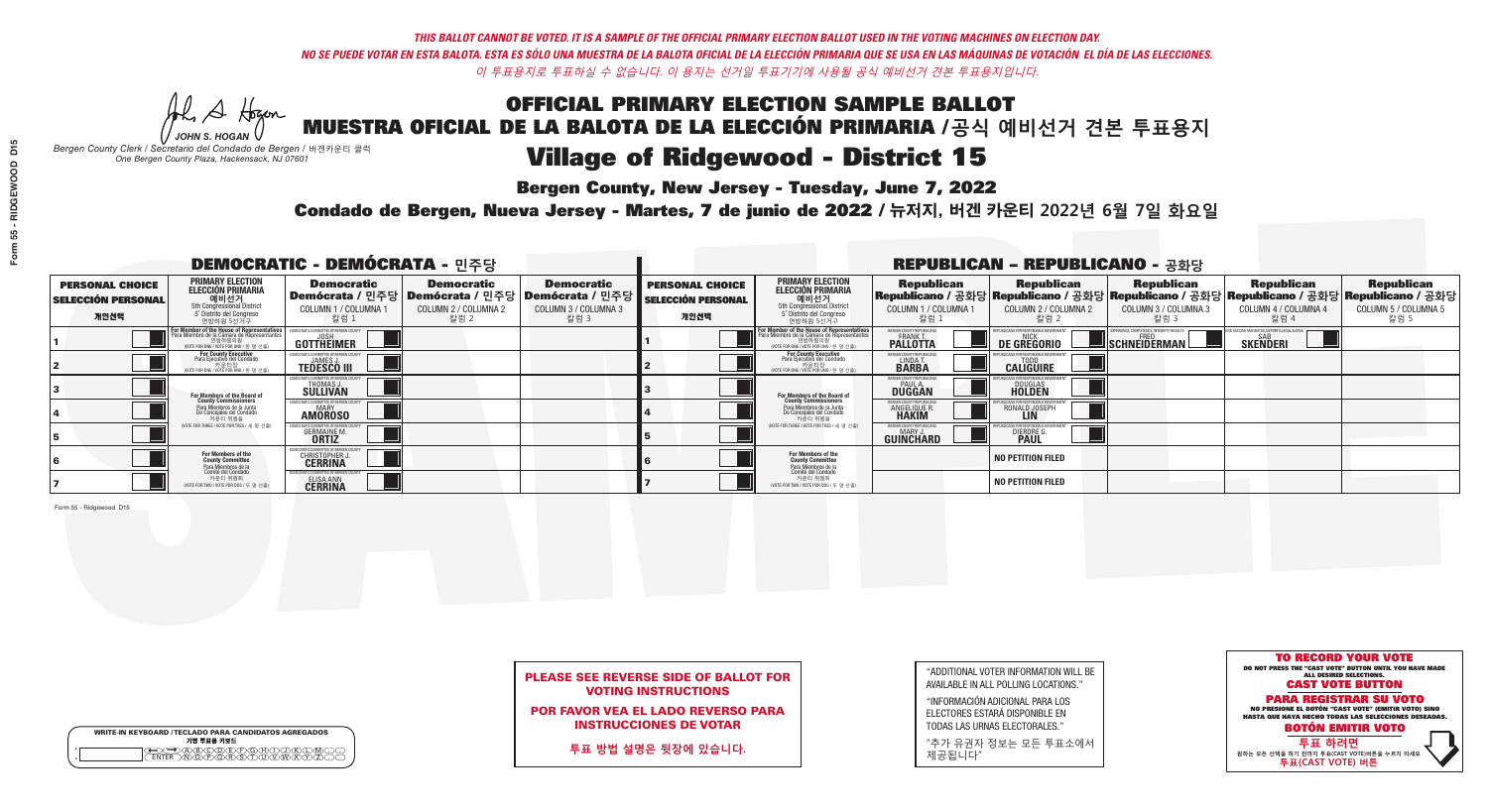**Bergen County, New Jersey - Tuesday, June 7, 2022** 

Al Stogan *JOHN S. HOGAN*

|         | <b>WRITE-IN KEYBOARD /TECLADO PARA CANDIDATOS AGREGADOS</b><br>기명 투표용 키보드 |  |
|---------|---------------------------------------------------------------------------|--|
| $\circ$ |                                                                           |  |

*Bergen County Clerk / Secretario del Condado de Bergen /* 버겐카운티 클럭 *One Bergen County Plaza, Hackensack, NJ 07601*



## PLEASE SEE REVERSE SIDE OF BALLOT FOR VOTING INSTRUCTIONS

POR FAVOR VEA EL LADO REVERSO PARA INSTRUCCIONES DE VOTAR

**투표 방법 설명은 뒷장에 있습니다.**

| "ADDITIONAL VOTER INFORMATION WILL BE |
|---------------------------------------|
| AVAILABLE IN ALL POLLING LOCATIONS."  |
|                                       |

"INFORMACIÓN ADICIONAL PARA LOS ELECTORES ESTARÁ DISPONIBLE EN TODAS LAS URNAS ELECTORALES."

"추가 유권자 정보는 모든 투표소에서 제공됩니다"

Condado de Bergen, Nueva Jersey - Martes, 7 de junio de 2022 / 뉴저지, 버겐 카운티 2022년 6월 7일 화요일 *One Bergen County Plaza, Hackensack, NJ 07601*

| <b>DEMOCRATIC - DEMÓCRATA - 민주당</b>                         |                                                                                                                                        |                                                                             |                                                   |                                                                                                              | <b>REPUBLICAN - REPUBLICANO - 공화당</b>                       |                                                                                                                                                 |                                                              |                                                    |                                                   |                                                   |                                                                                                                                                |
|-------------------------------------------------------------|----------------------------------------------------------------------------------------------------------------------------------------|-----------------------------------------------------------------------------|---------------------------------------------------|--------------------------------------------------------------------------------------------------------------|-------------------------------------------------------------|-------------------------------------------------------------------------------------------------------------------------------------------------|--------------------------------------------------------------|----------------------------------------------------|---------------------------------------------------|---------------------------------------------------|------------------------------------------------------------------------------------------------------------------------------------------------|
| <b>PERSONAL CHOICE</b><br><b>SELECCIÓN PERSONAL</b><br>개인선택 | <b>PRIMARY ELECTION</b><br>ELECCIÓN PRIMARIA<br>예비선거<br><sub>5th Congressional</sub> District<br>5° Distrito del Congreso<br>연방하원 5선거구 | <b>Democratic</b><br>COLUMN 1 / COLUMNA<br>칼럼 1                             | <b>Democratic</b><br>COLUMN 2 / COLUMNA 2<br>칼럼 2 | <b>Democratic</b><br>  Demócrata / 민주당   Demócrata / 민주당   Demócrata / 민주당  <br>COLUMN 3 / COLUMNA 3<br>칼럼 3 | <b>PERSONAL CHOICE</b><br><b>SELECCIÓN PERSONAL</b><br>개인선택 | <b>PRIMARY ELECTION</b><br>ELECCIÓN PRIMARIA<br>예비선거<br>5th Congressional District<br>5 Distrito del Congreso<br>연방하원 5선거구                      | <b>Republican</b><br>COLUMN 1 / COLUMNA 1<br><u>칼럼 1</u>     | <b>Republican</b><br>COLUMN 2 / COLUMNA 2<br>-칼럼 2 | <b>Republican</b><br>COLUMN 3 / COLUMNA 3<br>칼럼 3 | <b>Republican</b><br>COLUMN 4 / COLUMNA 4<br>칼럼 4 | <b>Republican</b><br>Republicano / 공화당 Republicano / 공화당 Republicano / 공화당 Republicano / 공화당 Republicano / 공화당<br>COLUMN 5 / COLUMNA 5<br>칼럼 5 |
|                                                             | For Member of the House of Representatives<br>Para Miembro de la Cámara de Representantes                                              | COMMITTEE OF BERGEN COUN<br>GOTTHEIMER                                      |                                                   |                                                                                                              |                                                             | F <mark>or Member of the House of Representatives</mark><br>Para Miembro de la Cámara de Representantes<br>WOTE FOR ONE / VOTE POR UNO / 한 명 선출 | BERGEN COUNTY REPUBLICANS<br><b>PALLOTTA</b>                 | <b>DE GREGORIO</b>                                 | SCHNEIDERMAN                                      | SAB<br><b>SKENDERI</b>                            |                                                                                                                                                |
|                                                             | For County Executive<br>Para Ejecutivo del Condado<br>VOTE FOR ONE / VOTE POR UNO / 한 명 선출)                                            | JAMES.<br><b>TEDESCO III</b>                                                |                                                   |                                                                                                              |                                                             | For County Executive<br>Para Ejecutivo del Condado<br>가운티장<br>(VOTE FOR ONE / VOTE POR UNO / 한 명 선출)                                            | BERGEN COUNTY REPUBLICAN<br>LINDA T.                         | <b>CALIGUIRE</b>                                   |                                                   |                                                   |                                                                                                                                                |
|                                                             | <b>For Members of the Board of<br/>County Commissioners</b>                                                                            | OCRATIC COMMITTEE OF BERGEN CO<br>THOMAS J.                                 |                                                   |                                                                                                              |                                                             | <b>For Members of the Board of County Commissioners</b>                                                                                         | BERGEN COUNTY REPUBLICAN<br><b>DUGGAN</b>                    | <b>DOUGLAS</b><br><b>HOLDEN</b>                    |                                                   |                                                   |                                                                                                                                                |
|                                                             | Para Miembros de la Junta<br>De Concejales del Condado<br>카우티 위원들                                                                      | CRATIC COMMITTEE OF BERGEN COUN<br><b>AMOROSO</b>                           |                                                   |                                                                                                              |                                                             | Para Miembros de la Junta<br>De Concejales del Condado<br>카운티 위원들                                                                               | RGEN COUNTY REPUBLICAN<br><b>ANGELIQUE R</b><br><b>HAKIM</b> | RONALD JOSEPH                                      |                                                   |                                                   |                                                                                                                                                |
|                                                             | (VOTE FOR THREE / VOTE POR TRES / 세 명 선출)                                                                                              | <b>GERMAINE M.</b>                                                          |                                                   |                                                                                                              |                                                             | (VOTE FOR THREE / VOTE POR TRES / 세 명 선출)                                                                                                       | BERGEN COUNTY REPUBLICAN<br>MARY J<br><b>GUINCHARD</b>       | <b>DIERDRE</b>                                     |                                                   |                                                   |                                                                                                                                                |
|                                                             | For Members of the<br>County Committee<br>Para Miembros de la                                                                          | MOCRATIC COMMITTEE OF BERGEN<br>CHRISTOPHER                                 |                                                   |                                                                                                              |                                                             | <b>For Members of the<br/>County Committee</b>                                                                                                  |                                                              | <b>NO PETITION FILED</b>                           |                                                   |                                                   |                                                                                                                                                |
|                                                             | Comité del Condado<br>카운티 위원회<br>(VOTE FOR TWO / VOTE POR DOS / 두 명 선출)                                                                | <b>10CRATIC COMMITTEE OF BERGEN (</b><br><b>ELISA ANN</b><br><b>CERRINA</b> |                                                   |                                                                                                              |                                                             | Para Miembros de la<br>Comité del Condado<br>카운티 위원회<br>NOTE FOR TWO / VOTE POR DOS / 두 명 선출)                                                   |                                                              | <b>NO PETITION FILED</b>                           |                                                   |                                                   |                                                                                                                                                |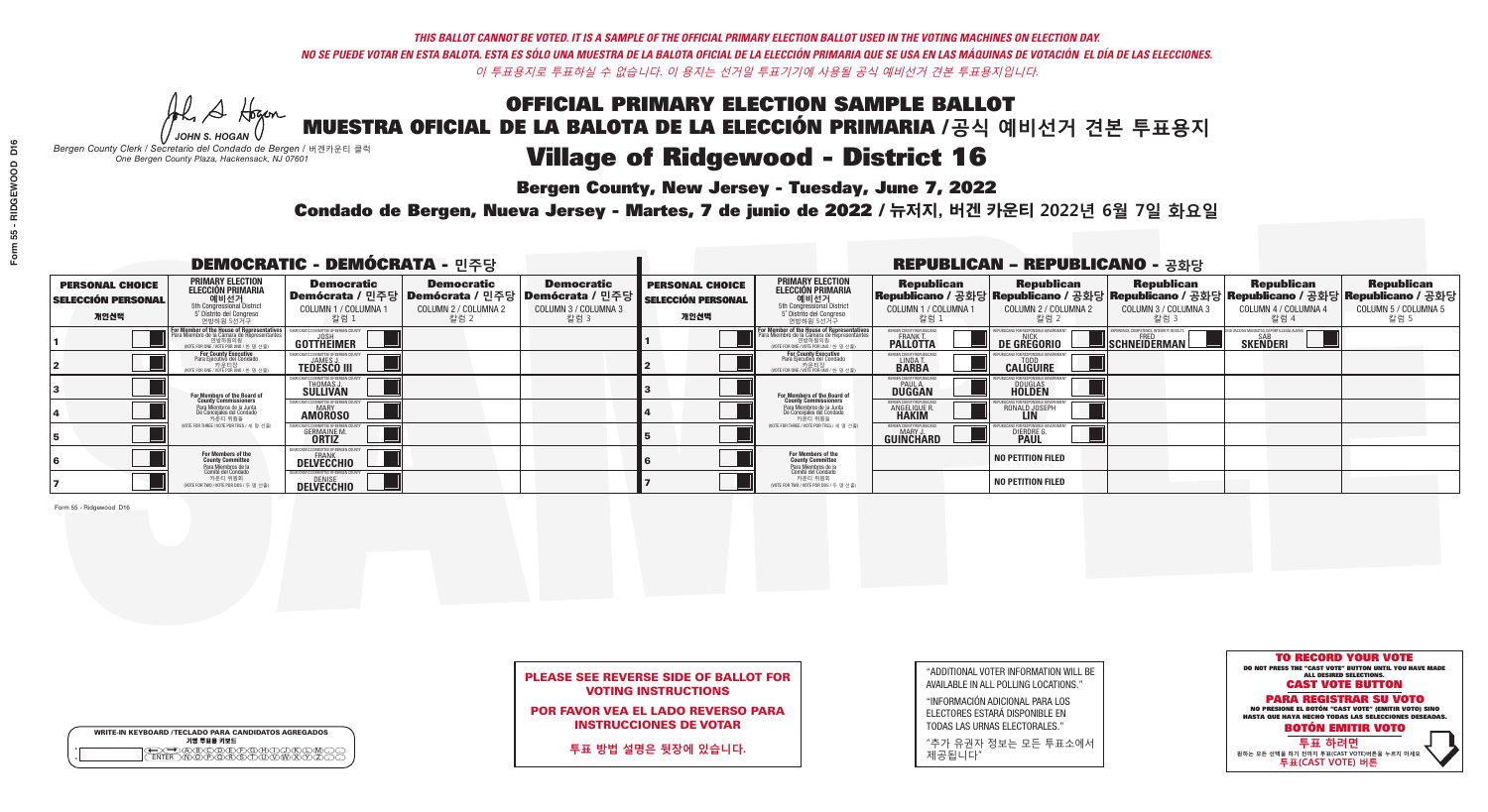**Bergen County, New Jersey - Tuesday, June 7, 2022** 

Al Stogan *JOHN S. HOGAN*

|         | <b>WRITE-IN KEYBOARD /TECLADO PARA CANDIDATOS AGREGADOS</b><br>기명 투표용 키보드 |
|---------|---------------------------------------------------------------------------|
| $\circ$ | <b>PÃRÃÃ</b>                                                              |

*Bergen County Clerk / Secretario del Condado de Bergen /* 버겐카운티 클럭 *One Bergen County Plaza, Hackensack, NJ 07601*



POR FAVOR VEA EL LADO REVERSO PARA INSTRUCCIONES DE VOTAR

**투표 방법 설명은 뒷장에 있습니다.**

| "ADDITIONAL VOTER INFORMATION WILL BE |
|---------------------------------------|
| AVAILABLE IN ALL POLLING LOCATIONS."  |
|                                       |

"INFORMACIÓN ADICIONAL PARA LOS ELECTORES ESTARÁ DISPONIBLE EN TODAS LAS URNAS ELECTORALES."

"추가 유권자 정보는 모든 투표소에서 제공됩니다"

Condado de Bergen, Nueva Jersey - Martes, 7 de junio de 2022 / 뉴저지, 버겐 카운티 2022년 6월 7일 화요일 *One Bergen County Plaza, Hackensack, NJ 07601*

| <b>DEMOCRATIC - DEMÓCRATA - 민주당</b>                         |                                                                                                                                                      |                                                              |                                                   |                                                                                                              | <b>REPUBLICAN - REPUBLICANO - 공화당</b>                       |                                                                                                                                                  |                                                                      |                                                    |                                                           |                                                                                                                                                |                                                   |  |
|-------------------------------------------------------------|------------------------------------------------------------------------------------------------------------------------------------------------------|--------------------------------------------------------------|---------------------------------------------------|--------------------------------------------------------------------------------------------------------------|-------------------------------------------------------------|--------------------------------------------------------------------------------------------------------------------------------------------------|----------------------------------------------------------------------|----------------------------------------------------|-----------------------------------------------------------|------------------------------------------------------------------------------------------------------------------------------------------------|---------------------------------------------------|--|
| <b>PERSONAL CHOICE</b><br><b>SELECCIÓN PERSONAL</b><br>개인선택 | <b>PRIMARY ELECTION</b><br><b>ELECCIÓN PRIMARIA</b><br>- 예비선거<br>- 5th Congressional District<br>- 5 <sup>*</sup> Distrito del Congreso<br>연방하원 5선거구 | <b>Democratic</b><br>COLUMN 1 / COLUMNA<br>칼럼 1              | <b>Democratic</b><br>COLUMN 2 / COLUMNA 2<br>칼럼 2 | <b>Democratic</b><br>  Demócrata / 민주당   Demócrata / 민주당   Demócrata / 민주당  <br>COLUMN 3 / COLUMNA 3<br>칼럼 3 | <b>PERSONAL CHOICE</b><br><b>SELECCIÓN PERSONAL</b><br>개인선택 | <b>PRIMARY ELECTION</b><br>ELECCIÓN PRIMARIA<br>예비선거<br>5th Congressional District<br>5 Distrito del Congreso<br>연방하원 5선거구                       | <b>Republican</b><br>COLUMN 1 / COLUMNA 1<br>, 칼럼 :                  | <b>Republican</b><br>COLUMN 2 / COLUMNA 2<br>-칼럼 2 | <b>Republican</b><br>COLUMN 3 / COLUMNA 3<br>칼럼 3         | <b>Republican</b><br>Republicano / 공화당 Republicano / 공화당 Republicano / 공화당 Republicano / 공화당 Republicano / 공화당<br>COLUMN 4 / COLUMNA 4<br>칼럼 4 | <b>Republican</b><br>COLUMN 5 / COLUMNA 5<br>칼럼 5 |  |
|                                                             | For Member of the House of Representatives<br>Para Miembro de la Cámara de Representantes<br>NOTE FOR ONE / VOTE POR UNO / 한 명 선출)                   | DEMOCRATIC COMMITTEE OF BERGEN COUN<br>GOTTHEIMER            |                                                   |                                                                                                              |                                                             | F <mark>or Member of the House of Representatives</mark><br>Para Miembro de la Cámara de Representantes<br>NOTE FOR ONE / VOTE POR UNO / 한 명 선출) | BERGEN COUNTY REPUBLICANS<br><b>FRANK T.</b><br><b>PALLOTTA</b>      | DE GREGORIO                                        | 'PERIENCE, COMPETENCE, INTEGRITY, RESULTS<br>SCHNEIDERMAN | SAB<br><b>SKENDERI</b>                                                                                                                         |                                                   |  |
|                                                             | For County Executive<br>Para Ejecutivo del Condado<br>vOTE FOR ONE / VOTE POR UNO / 한 명 선출)                                                          | JAMES,<br><b>TEDESCO III</b>                                 |                                                   |                                                                                                              |                                                             | For County Executive<br>Para Ejecutivo del Condado<br>. 카운티장<br>(VOTE FOR ONE / VOTE POR UNO / 한 명 선출)                                           | BERGEN COUNTY REPUBLICAN<br>LINDA T.                                 | <b>CALIGUIRE</b>                                   |                                                           |                                                                                                                                                |                                                   |  |
|                                                             | For Members of the Board of<br>County Commissioners                                                                                                  | <b>THOMAS J.</b><br><b>SULLIVAN</b>                          |                                                   |                                                                                                              |                                                             | <b>For Members of the Board of County Commissioners</b>                                                                                          | BERGEN COUNTY REPUBLICAN<br><b>PAUL A.</b><br><b>DUGGAN</b>          | <b>DOUGLAS</b>                                     |                                                           |                                                                                                                                                |                                                   |  |
|                                                             | Para Miembros de la Junta<br>De Concejales del Condado<br>카운티 위원들                                                                                    | IC COMMITTEE OF RERGEN COLL<br><b>MARY</b><br><b>AMOROSO</b> |                                                   |                                                                                                              |                                                             | Para Miembros de la Junta<br>De Concejales del Condado<br>카운티 위원들                                                                                | <b>FRGEN COUNTY REPUBLICAN</b><br><b>ANGELIQUE R</b><br><b>HAKIM</b> | RONALD JOSEPH<br><b>LIN</b>                        |                                                           |                                                                                                                                                |                                                   |  |
|                                                             | (VOTE FOR THREE / VOTE POR TRES / 세 명 선출)                                                                                                            | <b>GERMAINE M.</b><br><b>ORTIZ</b>                           |                                                   |                                                                                                              |                                                             | (VOTE FOR THREE / VOTE POR TRES / 세 명 선출)                                                                                                        | BERGEN COUNTY REPUBLICANS<br>MARY J.<br><b>GUINCHARD</b>             | <b>DIERDRE</b>                                     |                                                           |                                                                                                                                                |                                                   |  |
|                                                             | For Members of the<br>County Committee                                                                                                               | <b>DELVECCHIO</b>                                            |                                                   |                                                                                                              |                                                             | For Members of the<br>County Committee                                                                                                           |                                                                      | <b>NO PETITION FILED</b>                           |                                                           |                                                                                                                                                |                                                   |  |
|                                                             | Para Miembros de la<br>Comité del Condado<br>카운티 위원회<br>(VOTE FOR TWO / VOTE POR DOS / 두 명 선출)                                                       | 10CRATIC COMMITTEE OF BERGEN C<br><b>DELVECCHIO</b>          |                                                   |                                                                                                              |                                                             | Para Miembros de la<br>Comité del Condado<br>카운티 위원회<br>NOTE FOR TWO / VOTE POR DOS / 두 명 선출)                                                    |                                                                      | <b>NO PETITION FILED</b>                           |                                                           |                                                                                                                                                |                                                   |  |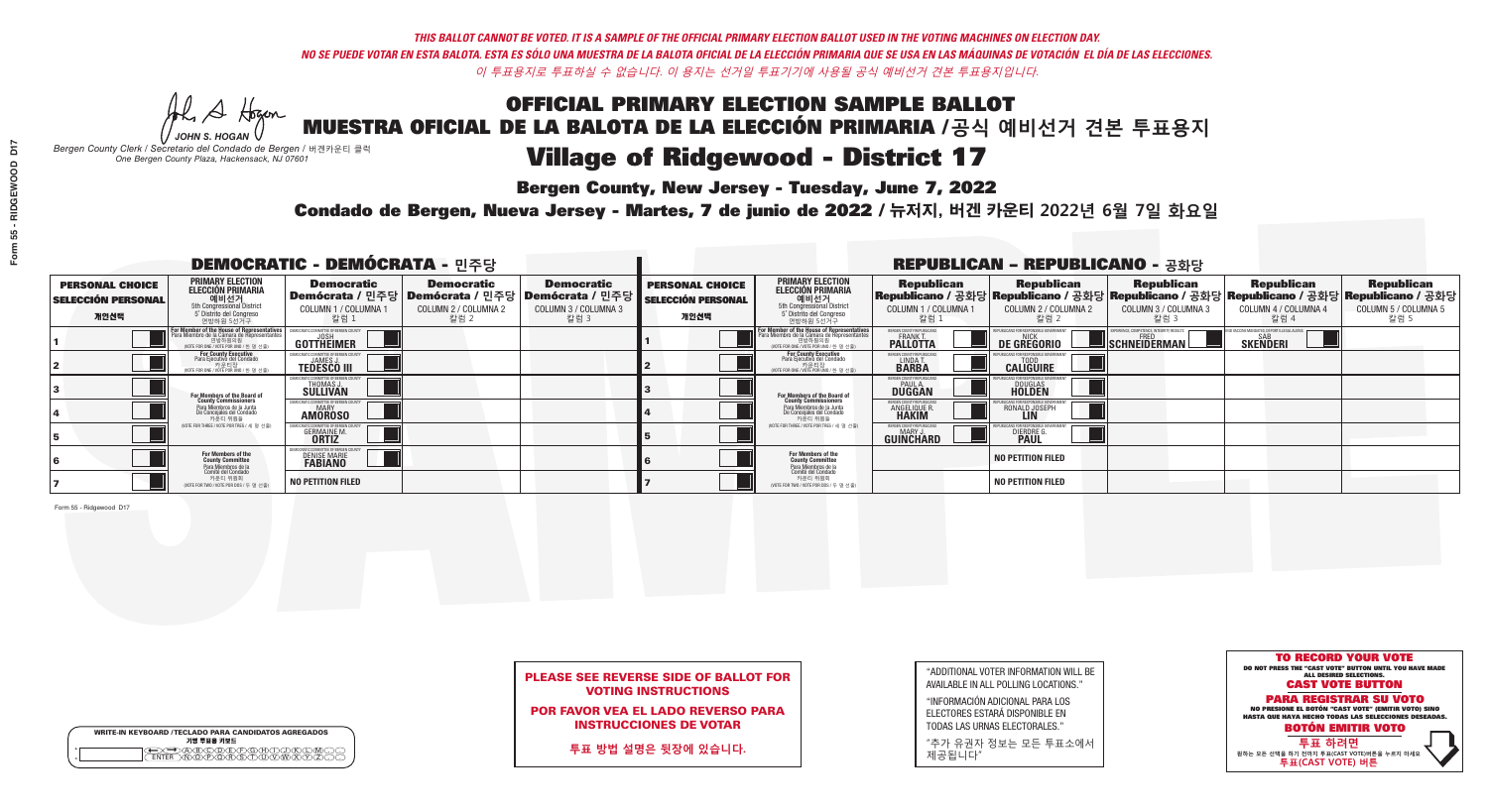**Bergen County, New Jersey - Tuesday, June 7, 2022** 

Al Stogan *JOHN S. HOGAN*

|                    | <b>WRITE-IN KEYBOARD /TECLADO PARA CANDIDATOS AGREGADOS</b><br>기명 투표용 키보드 |  |
|--------------------|---------------------------------------------------------------------------|--|
| $\circ$<br>$\circ$ | ∧∩∧ਣ                                                                      |  |

*Bergen County Clerk / Secretario del Condado de Bergen /* 버겐카운티 클럭 *One Bergen County Plaza, Hackensack, NJ 07601*

Condado de Bergen, Nueva Jersey - Martes, 7 de junio de 2022 / 뉴저지, 버겐 카운티 2022년 6월 7일 화요일 *One Bergen County Plaza, Hackensack, NJ 07601*



## PLEASE SEE REVERSE SIDE OF BALLOT FOR VOTING INSTRUCTIONS

POR FAVOR VEA EL LADO REVERSO PARA INSTRUCCIONES DE VOTAR

**투표 방법 설명은 뒷장에 있습니다.**

| "ADDITIONAL VOTER INFORMATION WILL BE |
|---------------------------------------|
| AVAILABLE IN ALL POLLING LOCATIONS."  |
|                                       |

"INFORMACIÓN ADICIONAL PARA LOS ELECTORES ESTARÁ DISPONIBLE EN TODAS LAS URNAS ELECTORALES."

"추가 유권자 정보는 모든 투표소에서 제공됩니다"

| <b>DEMOCRATIC - DEMÓCRATA - 민주당</b>                         |                                                                                                                                                      |                                                                |                                                   |                                                                                                              | <b>REPUBLICAN - REPUBLICANO - 공화당</b>                       |                                                                                                                                                  |                                                                      |                                                                                                                                                  |                                                          |                                                   |                                                   |
|-------------------------------------------------------------|------------------------------------------------------------------------------------------------------------------------------------------------------|----------------------------------------------------------------|---------------------------------------------------|--------------------------------------------------------------------------------------------------------------|-------------------------------------------------------------|--------------------------------------------------------------------------------------------------------------------------------------------------|----------------------------------------------------------------------|--------------------------------------------------------------------------------------------------------------------------------------------------|----------------------------------------------------------|---------------------------------------------------|---------------------------------------------------|
| <b>PERSONAL CHOICE</b><br><b>SELECCIÓN PERSONAL</b><br>개인선택 | <b>PRIMARY ELECTION</b><br>ELECCIÓN PRIMARIA<br>에비선거<br>5th Congressional District<br>5 <sup>*</sup> Distrito del Congreso<br>연방하원 5선거구              | <b>Democratic</b><br>COLUMN 1 / COLUMNA<br>칼럼 1                | <b>Democratic</b><br>COLUMN 2 / COLUMNA 2<br>칼럼 2 | <b>Democratic</b><br>  Demócrata / 민주당   Demócrata / 민주당   Demócrata / 민주당  <br>COLUMN 3 / COLUMNA 3<br>칼럼 3 | <b>PERSONAL CHOICE</b><br><b>SELECCIÓN PERSONAL</b><br>개인선택 | <b>PRIMARY ELECTION</b><br>ELECCIÓN PRIMARIA<br>예비선거<br>5th Congressional District<br>5 Distrito del Congreso<br>연방하원 5선거구                       | <b>Republican</b><br>COLUMN 1 / COLUMNA 1<br>"칼럼 1                   | <b>Republican</b><br> Republicano / 공화당 Republicano / 공화당 Republicano / 공화당 Republicano / 공화당 Republicano / 공화당<br>COLUMN 2 / COLUMNA 2<br>-칼럼 2 | <b>Republican</b><br>COLUMN 3 / COLUMNA 3<br>칼럼 3        | <b>Republican</b><br>COLUMN 4 / COLUMNA 4<br>칼럼 4 | <b>Republican</b><br>COLUMN 5 / COLUMNA 5<br>칼럼 5 |
|                                                             | <b>For Member of the House of Representatives</b><br>Para Miembro de la Cámara de Representantes<br>연방하원의원<br>(VOTE FOR ONE / VOTE POR UNO / 한 명 선출) | <b>COMMITTEE OF BERGEN COUNT</b><br>GOTTHEIMER                 |                                                   |                                                                                                              |                                                             | F <mark>or Member of the House of Representatives</mark><br>Para Miembro de la Cámara de Representantes<br>NOTE FOR ONE / VOTE POR UNO / 한 명 선출) | BERGEN COUNTY REPUBLICANS<br><b>FRANK T.</b><br>PALLOTTA             | DE GREGORIO                                                                                                                                      | PERIENCE, COMPETENCE, INTEGRITY, RESULTS<br>SCHNEIDERMAN | <b>SKENDERI</b>                                   |                                                   |
|                                                             | For County Executive<br>Para Ejecutivo del Condado<br>/OTE FOR ONE / VOTE POR UNO / 한 명 선출)                                                          | <b>JAMES J</b><br><b>TEDESCO III</b>                           |                                                   |                                                                                                              |                                                             | For County Executive<br>Para Ejecutivo del Condado<br>. 카운티장<br>(VOTE FOR ONE / VOTE POR UNO / 한 명 선출)                                           | BERGEN COUNTY REPUBLICAN<br>LINDA T.                                 | <b>CALIGUIRE</b>                                                                                                                                 |                                                          |                                                   |                                                   |
|                                                             | For Members of the Board of<br>County Commissioners                                                                                                  | THOMAS J.                                                      |                                                   |                                                                                                              |                                                             | <b>For Members of the Board of County Commissioners</b>                                                                                          | BERGEN COUNTY REPUBLICAN<br><b>DUGGAN</b>                            | <b>DOUGLAS</b><br><b>HOLDEN</b>                                                                                                                  |                                                          |                                                   |                                                   |
|                                                             | Para Miembros de la Junta<br>De Concejales del Condado<br>카운티 위원들                                                                                    | OCRATIC COMMITTEE OF BERGEN COUN'<br><b>AMOROSO</b>            |                                                   |                                                                                                              |                                                             | Para Miembros de la Junta<br>De Concejales del Condado<br>카운티 위원들                                                                                | <b>ERGEN COUNTY REPUBLICAN</b><br><b>ANGELIQUE R</b><br><b>HAKIM</b> | RONALD JOSEPH                                                                                                                                    |                                                          |                                                   |                                                   |
|                                                             | NOTE FOR THREE / VOTE POR TRES / 세 명 선출)                                                                                                             | <b>GERMAINE M</b><br><b>ORTIZ</b>                              |                                                   |                                                                                                              |                                                             | (VOTE FOR THREE / VOTE POR TRES / 세 명 선출)                                                                                                        | ERGEN COUNTY REPUBLICAN<br>MARY J<br><b>GUINCHARD</b>                | <b>DIERDRE</b>                                                                                                                                   |                                                          |                                                   |                                                   |
|                                                             | For Members of the<br>County Committee<br>Para Miembros de la<br>Comité del Condado                                                                  | IOCRATIC COMMITTEE OF BERGEN<br>DENISE MARIE<br><b>FABIANO</b> |                                                   |                                                                                                              |                                                             | <b>For Members of the<br/>County Committee</b>                                                                                                   |                                                                      | <b>NO PETITION FILED</b>                                                                                                                         |                                                          |                                                   |                                                   |
|                                                             | 카운티 위원회<br>(VOTE FOR TWO / VOTE POR DOS / 두 명 선출)                                                                                                    | <b>NO PETITION FILED</b>                                       |                                                   |                                                                                                              |                                                             | Para Miembros de la<br>Comité del Condado<br>카운티 위원회<br>NOTE FOR TWO / VOTE POR DOS / 두 명 선출)                                                    |                                                                      | <b>NO PETITION FILED</b>                                                                                                                         |                                                          |                                                   |                                                   |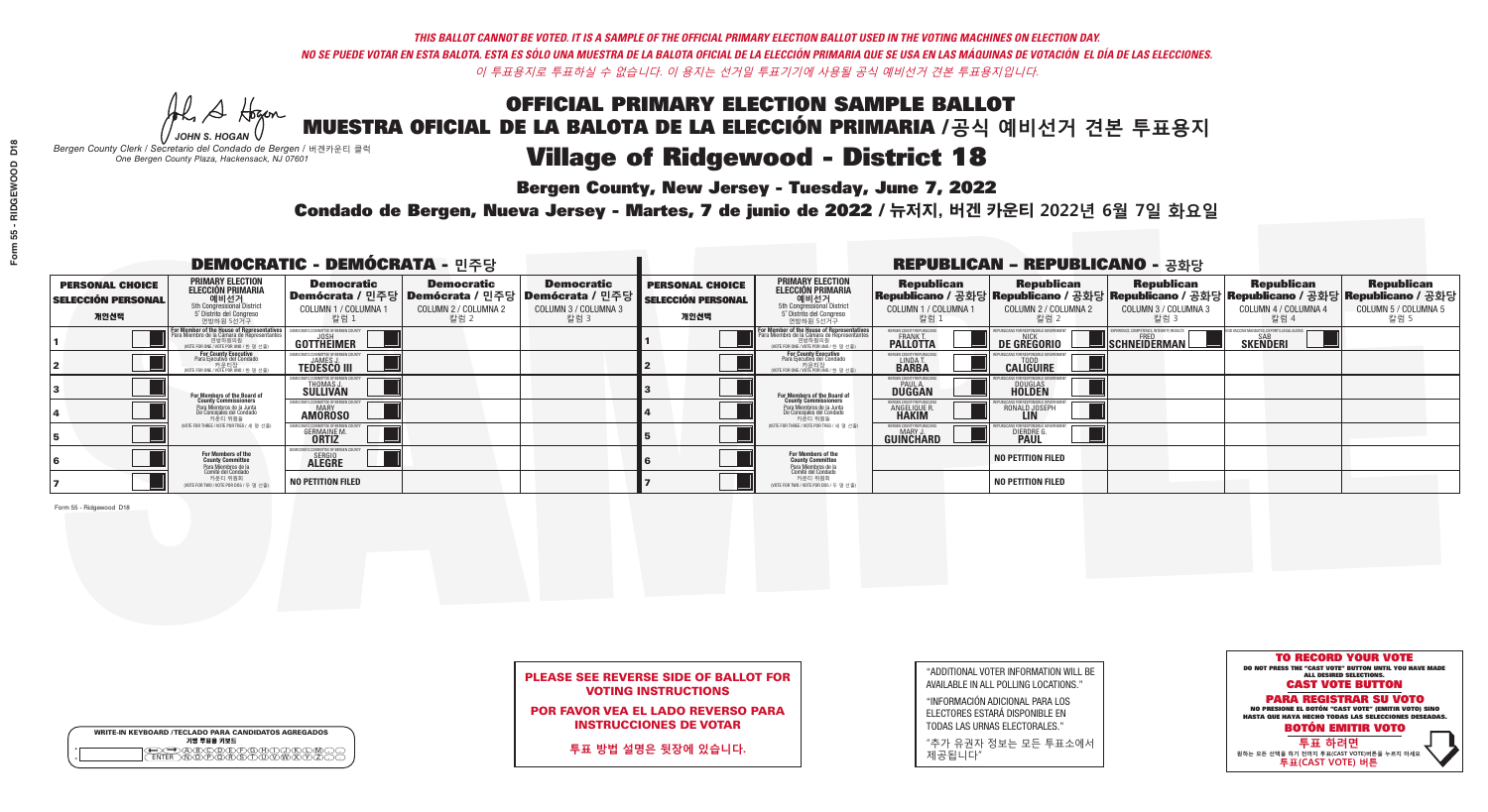**Bergen County, New Jersey - Tuesday, June 7, 2022** 

Al Stogan *JOHN S. HOGAN*

|                    | <b>WRITE-IN KEYBOARD /TECLADO PARA CANDIDATOS AGREGADOS</b><br>기명 투표용 키보드 |  |
|--------------------|---------------------------------------------------------------------------|--|
| $\circ$<br>$\circ$ |                                                                           |  |

*Bergen County Clerk / Secretario del Condado de Bergen /* 버겐카운티 클럭 *One Bergen County Plaza, Hackensack, NJ 07601*

Condado de Bergen, Nueva Jersey - Martes, 7 de junio de 2022 / 뉴저지, 버겐 카운티 2022년 6월 7일 화요일 *One Bergen County Plaza, Hackensack, NJ 07601*



## PLEASE SEE REVERSE SIDE OF BALLOT FOR VOTING INSTRUCTIONS

POR FAVOR VEA EL LADO REVERSO PARA INSTRUCCIONES DE VOTAR

**투표 방법 설명은 뒷장에 있습니다.**

| "ADDITIONAL VOTER INFORMATION WILL BE |
|---------------------------------------|
| AVAILABLE IN ALL POLLING LOCATIONS."  |
|                                       |

"INFORMACIÓN ADICIONAL PARA LOS ELECTORES ESTARÁ DISPONIBLE EN TODAS LAS URNAS ELECTORALES."

"추가 유권자 정보는 모든 투표소에서 제공됩니다"

| <b>DEMOCRATIC - DEMÓCRATA - 민주당</b>                         |                                                                                                                                                       |                                                         |                                                   |                                                                                                             | <b>REPUBLICAN - REPUBLICANO - 공화당</b>                       |                                                                                                                                                             |                                                             |                                                                                                                                                |                                                   |                                                   |                                                   |
|-------------------------------------------------------------|-------------------------------------------------------------------------------------------------------------------------------------------------------|---------------------------------------------------------|---------------------------------------------------|-------------------------------------------------------------------------------------------------------------|-------------------------------------------------------------|-------------------------------------------------------------------------------------------------------------------------------------------------------------|-------------------------------------------------------------|------------------------------------------------------------------------------------------------------------------------------------------------|---------------------------------------------------|---------------------------------------------------|---------------------------------------------------|
| <b>PERSONAL CHOICE</b><br><b>SELECCIÓN PERSONAL</b><br>개인선택 | <b>PRIMARY ELECTION</b><br><b>ELECCIÓN PRIMARIA</b><br><b>에비선거</b><br>5th Congressional District<br>5 <sup>'</sup> Distrito del Congreso<br>연방하원 5선거구 | <b>Democratic</b><br>COLUMN 1 / COLUMNA<br>칼럼 1         | <b>Democratic</b><br>COLUMN 2 / COLUMNA 2<br>칼럼 2 | <b>Democratic</b><br>  Demócrata / 민주당   Demócrata / 민주당   Demócrata / 민주당 <br>COLUMN 3 / COLUMNA 3<br>칼럼 3 | <b>PERSONAL CHOICE</b><br><b>SELECCIÓN PERSONAL</b><br>개인선택 | <b>PRIMARY ELECTION</b><br><b>ELECCIÓN PRIMARIA</b><br><b>에비선거</b><br>5 Distrito del Congreso<br>연방하원 5선거구                                                  | <b>Republican</b><br>COLUMN 1 / COLUMNA 1<br>"칼럼 1          | <b>Republican</b><br>Republicano / 공화당 Republicano / 공화당 Republicano / 공화당 Republicano / 공화당 Republicano / 공화당<br>COLUMN 2 / COLUMNA 2<br>칼럼 2 | <b>Republican</b><br>COLUMN 3 / COLUMNA 3<br>칼럼 3 | <b>Republican</b><br>COLUMN 4 / COLUMNA 4<br>칼럼 4 | <b>Republican</b><br>COLUMN 5 / COLUMNA 5<br>칼럼 5 |
|                                                             | For Member of the House of Representatives<br>Para Miembro de la Cámara de Representantes<br>연방하원의원<br>(VOTE FOR ONE / VOTE POR UNO / 한 명 선출)         | <b>GOTTHEIMER</b>                                       |                                                   |                                                                                                             |                                                             | F <mark>or Member of the House of Representatives</mark><br>Para Miembro de la Cámara de Representantes<br>연방하원의원<br>(VOTE FOR ONE / VOTE POR UNO / 한 명 선출) | BERGEN COUNTY REPUBLICANS<br>FRANK T.<br><b>PALLOTTA</b>    | DE GREGORIO                                                                                                                                    | SCHNEIDERMAN                                      | <b>SKENDERI</b>                                   |                                                   |
|                                                             | For County Executive<br>Para Ejecutivo del Condado<br>VOTE FOR ONE / VOTE POR UNO / 한 명 선출)                                                           | <b>TEDESCO III</b>                                      |                                                   |                                                                                                             |                                                             | For County Executive<br>Para Ejecutivo del Condado<br>. 카운티장<br>(VOTE FOR ONE / VOTE POR UNO / 한 명 선출)                                                      | BERGEN COUNTY REPUBLICAN<br>LINDA T.                        | <b>CALIGUIRE</b>                                                                                                                               |                                                   |                                                   |                                                   |
|                                                             | <b>For Members of the Board of<br/>County Commissioners</b>                                                                                           | <b>THOMAS J.</b><br><b>SULLIVAN</b>                     |                                                   |                                                                                                             |                                                             | <b>For Members of the Board of County Commissioners</b>                                                                                                     | BERGEN COUNTY REPUBLICAN<br><b>PAUL A.</b><br><b>DUGGAN</b> | <b>DOUGLAS</b><br><b>HOLDEN</b>                                                                                                                |                                                   |                                                   |                                                   |
|                                                             | Para Miembros de la Junta<br>De Concejales del Condado<br>카운티 위원들                                                                                     | IOCRATIC COMMITTEE OF BERGEN COUN'<br><b>AMOROSO</b>    |                                                   |                                                                                                             |                                                             | Para Miembros de la Junta<br>De Concejales del Condado<br>카운티 위원들                                                                                           | ERGEN COUNTY REPUBLICAN<br><b>ANGELIQUE R</b>               | RONALD JOSEPH                                                                                                                                  |                                                   |                                                   |                                                   |
|                                                             | NOTE FOR THREE / VOTE POR TRES / 세 명 선출)                                                                                                              | <b>GERMAINE M</b>                                       |                                                   |                                                                                                             |                                                             | (VOTE FOR THREE / VOTE POR TRES / 세 명 선출)                                                                                                                   | BERGEN COUNTY REPUBLICAN<br>MARY J<br><b>GUINCHARD</b>      | <b>DIERDRE</b>                                                                                                                                 |                                                   |                                                   |                                                   |
|                                                             | For Members of the<br>County Committee<br>Para Miembros de la<br>Comité del Condado                                                                   | IOCRATIC COMMITTEE OF BERGEN<br>SERGIO<br><b>ALEGRE</b> |                                                   |                                                                                                             |                                                             | <b>For Members of the<br/>County Committee</b>                                                                                                              |                                                             | <b>NO PETITION FILED</b>                                                                                                                       |                                                   |                                                   |                                                   |
|                                                             | 카운티 위원회<br>NOTE FOR TWO / VOTE POR DOS / 두 명 선출)                                                                                                      | <b>NO PETITION FILED</b>                                |                                                   |                                                                                                             |                                                             | Para Miembros de la<br>Comité del Condado<br>카운티 위원회<br>NOTE FOR TWO / VOTE POR DOS / 두 명 선출)                                                               |                                                             | <b>NO PETITION FILED</b>                                                                                                                       |                                                   |                                                   |                                                   |